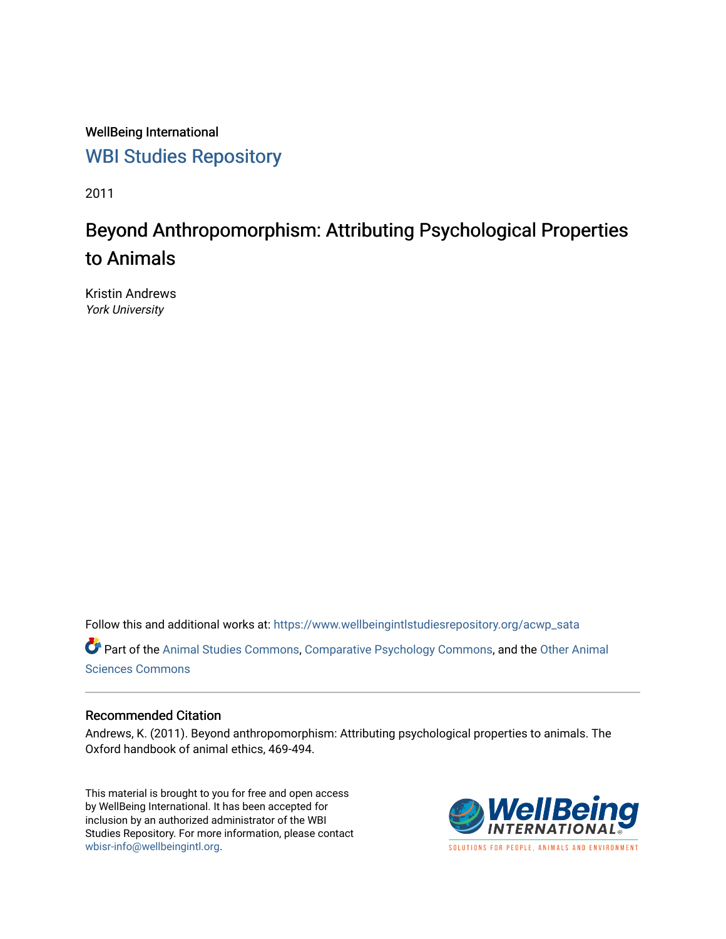WellBeing International [WBI Studies Repository](https://www.wellbeingintlstudiesrepository.org/)

2011

# Beyond Anthropomorphism: Attributing Psychological Properties to Animals

Kristin Andrews York University

Follow this and additional works at: [https://www.wellbeingintlstudiesrepository.org/acwp\\_sata](https://www.wellbeingintlstudiesrepository.org/acwp_sata?utm_source=www.wellbeingintlstudiesrepository.org%2Facwp_sata%2F18&utm_medium=PDF&utm_campaign=PDFCoverPages)

Part of the [Animal Studies Commons,](http://network.bepress.com/hgg/discipline/1306?utm_source=www.wellbeingintlstudiesrepository.org%2Facwp_sata%2F18&utm_medium=PDF&utm_campaign=PDFCoverPages) [Comparative Psychology Commons,](http://network.bepress.com/hgg/discipline/1387?utm_source=www.wellbeingintlstudiesrepository.org%2Facwp_sata%2F18&utm_medium=PDF&utm_campaign=PDFCoverPages) and the [Other Animal](http://network.bepress.com/hgg/discipline/82?utm_source=www.wellbeingintlstudiesrepository.org%2Facwp_sata%2F18&utm_medium=PDF&utm_campaign=PDFCoverPages)  [Sciences Commons](http://network.bepress.com/hgg/discipline/82?utm_source=www.wellbeingintlstudiesrepository.org%2Facwp_sata%2F18&utm_medium=PDF&utm_campaign=PDFCoverPages) 

# Recommended Citation

Andrews, K. (2011). Beyond anthropomorphism: Attributing psychological properties to animals. The Oxford handbook of animal ethics, 469-494.

This material is brought to you for free and open access by WellBeing International. It has been accepted for inclusion by an authorized administrator of the WBI Studies Repository. For more information, please contact [wbisr-info@wellbeingintl.org](mailto:wbisr-info@wellbeingintl.org).



SOLUTIONS FOR PEOPLE. ANIMALS AND ENVIRONMENT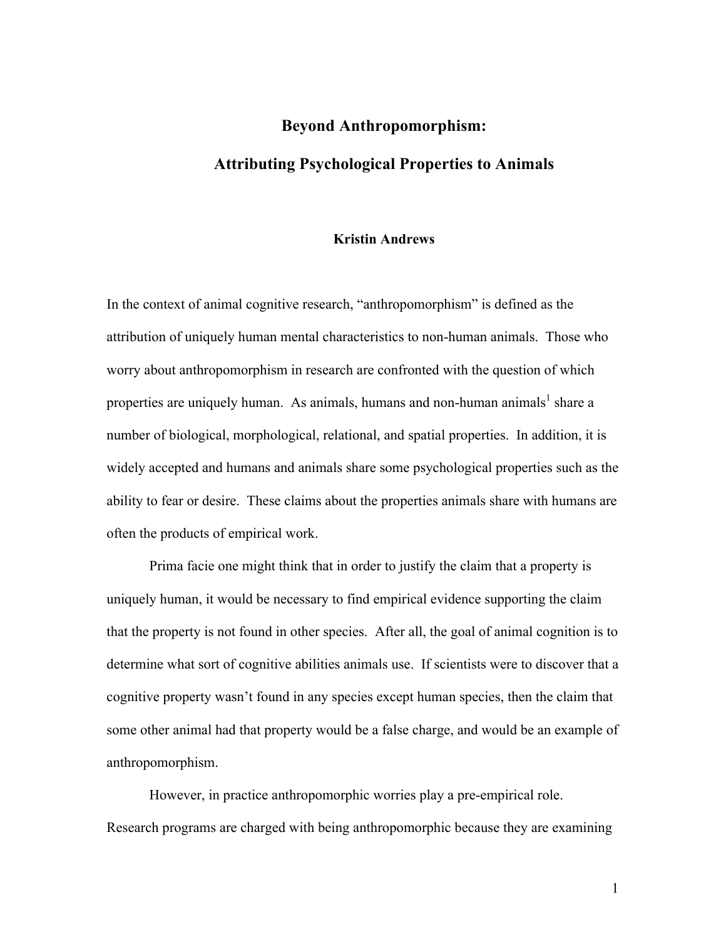# **Beyond Anthropomorphism:**

# **Attributing Psychological Properties to Animals**

#### **Kristin Andrews**

In the context of animal cognitive research, "anthropomorphism" is defined as the attribution of uniquely human mental characteristics to non-human animals. Those who worry about anthropomorphism in research are confronted with the question of which properties are uniquely human. As animals, humans and non-human animals<sup>1</sup> share a number of biological, morphological, relational, and spatial properties. In addition, it is widely accepted and humans and animals share some psychological properties such as the ability to fear or desire. These claims about the properties animals share with humans are often the products of empirical work.

Prima facie one might think that in order to justify the claim that a property is uniquely human, it would be necessary to find empirical evidence supporting the claim that the property is not found in other species. After all, the goal of animal cognition is to determine what sort of cognitive abilities animals use. If scientists were to discover that a cognitive property wasn't found in any species except human species, then the claim that some other animal had that property would be a false charge, and would be an example of anthropomorphism.

However, in practice anthropomorphic worries play a pre-empirical role. Research programs are charged with being anthropomorphic because they are examining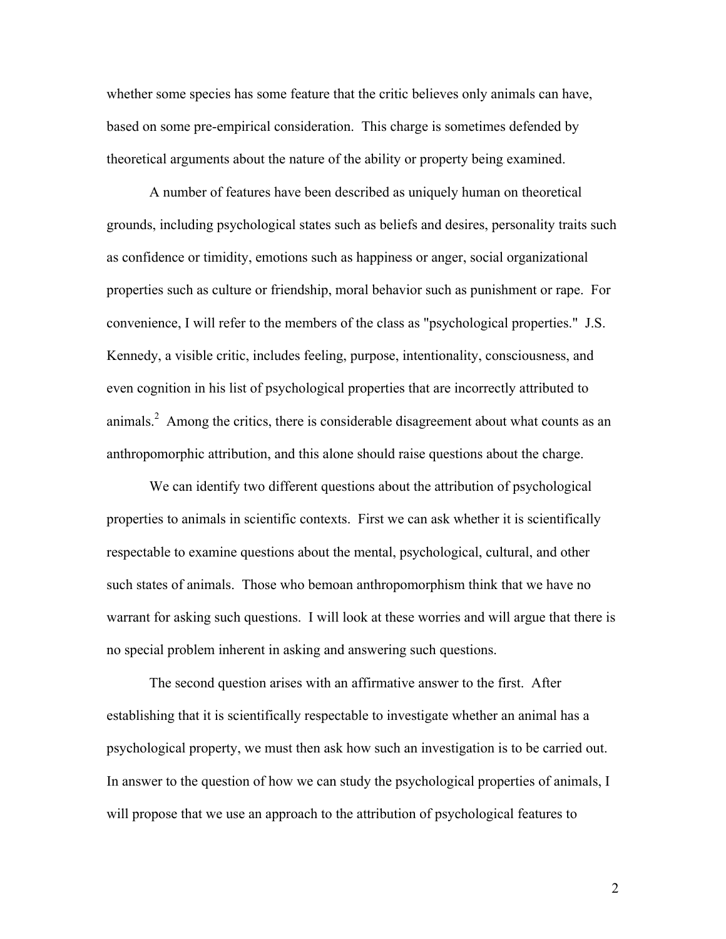whether some species has some feature that the critic believes only animals can have, based on some pre-empirical consideration. This charge is sometimes defended by theoretical arguments about the nature of the ability or property being examined.

A number of features have been described as uniquely human on theoretical grounds, including psychological states such as beliefs and desires, personality traits such as confidence or timidity, emotions such as happiness or anger, social organizational properties such as culture or friendship, moral behavior such as punishment or rape. For convenience, I will refer to the members of the class as "psychological properties." J.S. Kennedy, a visible critic, includes feeling, purpose, intentionality, consciousness, and even cognition in his list of psychological properties that are incorrectly attributed to animals. $<sup>2</sup>$  Among the critics, there is considerable disagreement about what counts as an</sup> anthropomorphic attribution, and this alone should raise questions about the charge.

We can identify two different questions about the attribution of psychological properties to animals in scientific contexts. First we can ask whether it is scientifically respectable to examine questions about the mental, psychological, cultural, and other such states of animals. Those who bemoan anthropomorphism think that we have no warrant for asking such questions. I will look at these worries and will argue that there is no special problem inherent in asking and answering such questions.

The second question arises with an affirmative answer to the first. After establishing that it is scientifically respectable to investigate whether an animal has a psychological property, we must then ask how such an investigation is to be carried out. In answer to the question of how we can study the psychological properties of animals, I will propose that we use an approach to the attribution of psychological features to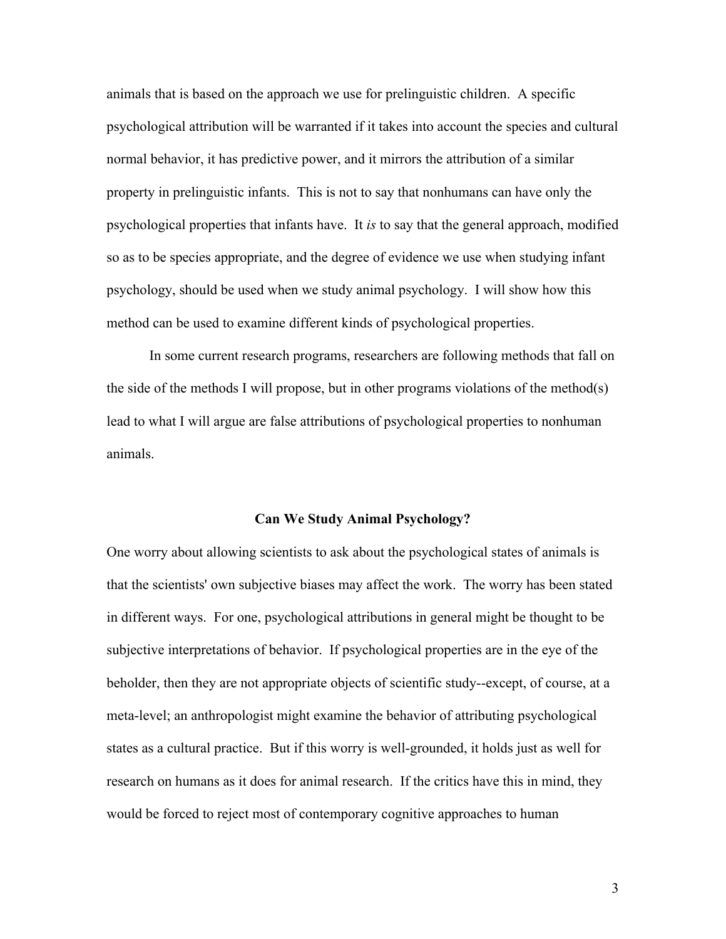animals that is based on the approach we use for prelinguistic children. A specific psychological attribution will be warranted if it takes into account the species and cultural normal behavior, it has predictive power, and it mirrors the attribution of a similar property in prelinguistic infants. This is not to say that nonhumans can have only the psychological properties that infants have. It *is* to say that the general approach, modified so as to be species appropriate, and the degree of evidence we use when studying infant psychology, should be used when we study animal psychology. I will show how this method can be used to examine different kinds of psychological properties.

In some current research programs, researchers are following methods that fall on the side of the methods I will propose, but in other programs violations of the method(s) lead to what I will argue are false attributions of psychological properties to nonhuman animals.

#### **Can We Study Animal Psychology?**

One worry about allowing scientists to ask about the psychological states of animals is that the scientists' own subjective biases may affect the work. The worry has been stated in different ways. For one, psychological attributions in general might be thought to be subjective interpretations of behavior. If psychological properties are in the eye of the beholder, then they are not appropriate objects of scientific study--except, of course, at a meta-level; an anthropologist might examine the behavior of attributing psychological states as a cultural practice. But if this worry is well-grounded, it holds just as well for research on humans as it does for animal research. If the critics have this in mind, they would be forced to reject most of contemporary cognitive approaches to human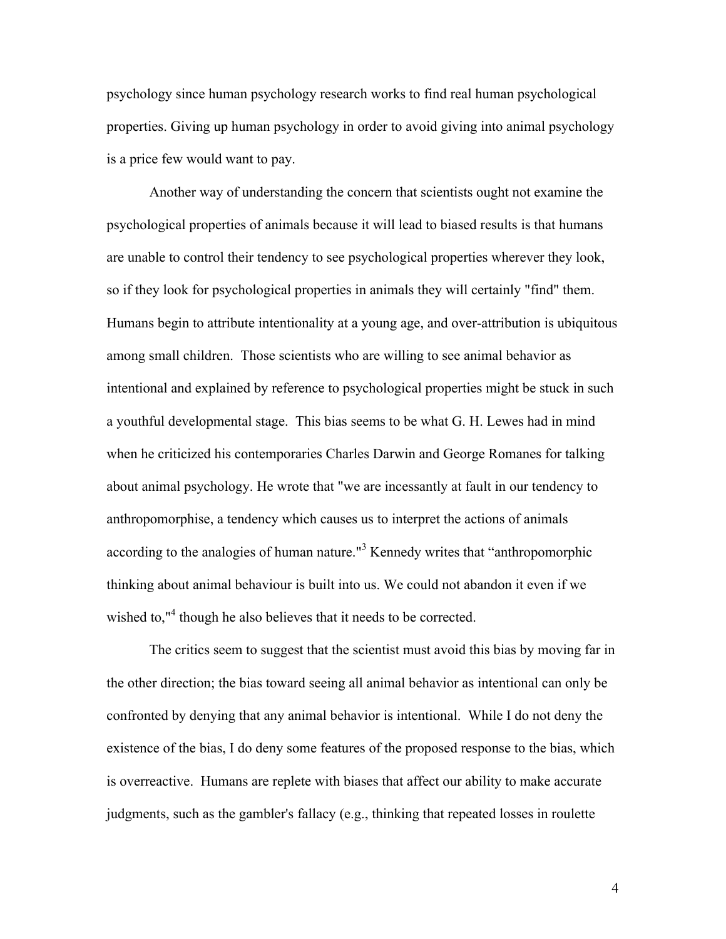psychology since human psychology research works to find real human psychological properties. Giving up human psychology in order to avoid giving into animal psychology is a price few would want to pay.

Another way of understanding the concern that scientists ought not examine the psychological properties of animals because it will lead to biased results is that humans are unable to control their tendency to see psychological properties wherever they look, so if they look for psychological properties in animals they will certainly "find" them. Humans begin to attribute intentionality at a young age, and over-attribution is ubiquitous among small children. Those scientists who are willing to see animal behavior as intentional and explained by reference to psychological properties might be stuck in such a youthful developmental stage. This bias seems to be what G. H. Lewes had in mind when he criticized his contemporaries Charles Darwin and George Romanes for talking about animal psychology. He wrote that "we are incessantly at fault in our tendency to anthropomorphise, a tendency which causes us to interpret the actions of animals according to the analogies of human nature."<sup>3</sup> Kennedy writes that "anthropomorphic thinking about animal behaviour is built into us. We could not abandon it even if we wished to,"<sup>4</sup> though he also believes that it needs to be corrected.

The critics seem to suggest that the scientist must avoid this bias by moving far in the other direction; the bias toward seeing all animal behavior as intentional can only be confronted by denying that any animal behavior is intentional. While I do not deny the existence of the bias, I do deny some features of the proposed response to the bias, which is overreactive. Humans are replete with biases that affect our ability to make accurate judgments, such as the gambler's fallacy (e.g., thinking that repeated losses in roulette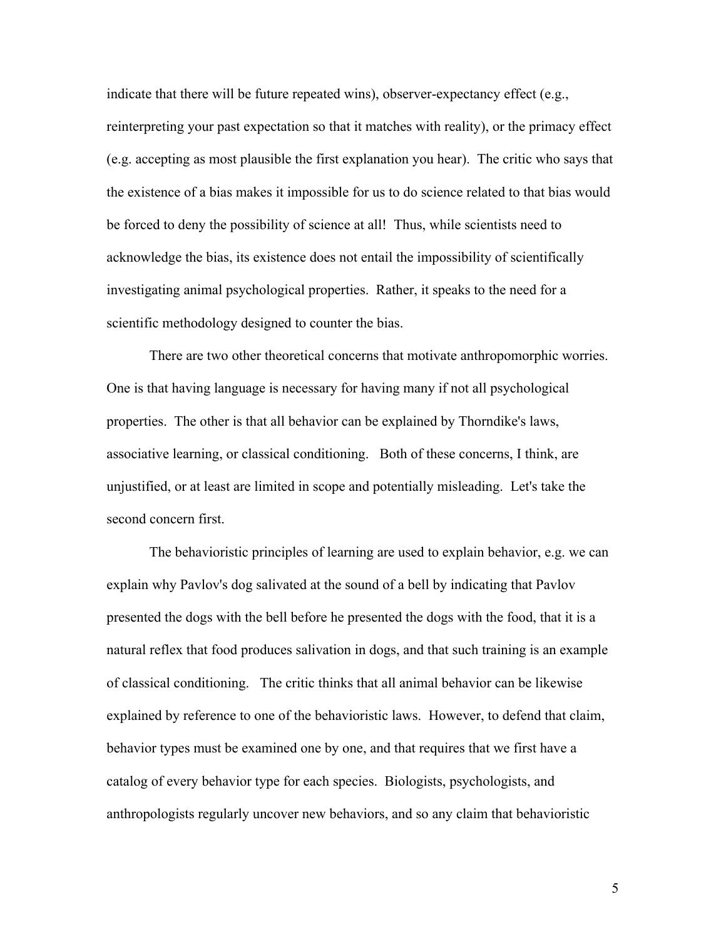indicate that there will be future repeated wins), observer-expectancy effect (e.g., reinterpreting your past expectation so that it matches with reality), or the primacy effect (e.g. accepting as most plausible the first explanation you hear). The critic who says that the existence of a bias makes it impossible for us to do science related to that bias would be forced to deny the possibility of science at all! Thus, while scientists need to acknowledge the bias, its existence does not entail the impossibility of scientifically investigating animal psychological properties. Rather, it speaks to the need for a scientific methodology designed to counter the bias.

There are two other theoretical concerns that motivate anthropomorphic worries. One is that having language is necessary for having many if not all psychological properties. The other is that all behavior can be explained by Thorndike's laws, associative learning, or classical conditioning. Both of these concerns, I think, are unjustified, or at least are limited in scope and potentially misleading. Let's take the second concern first.

The behavioristic principles of learning are used to explain behavior, e.g. we can explain why Pavlov's dog salivated at the sound of a bell by indicating that Pavlov presented the dogs with the bell before he presented the dogs with the food, that it is a natural reflex that food produces salivation in dogs, and that such training is an example of classical conditioning. The critic thinks that all animal behavior can be likewise explained by reference to one of the behavioristic laws. However, to defend that claim, behavior types must be examined one by one, and that requires that we first have a catalog of every behavior type for each species. Biologists, psychologists, and anthropologists regularly uncover new behaviors, and so any claim that behavioristic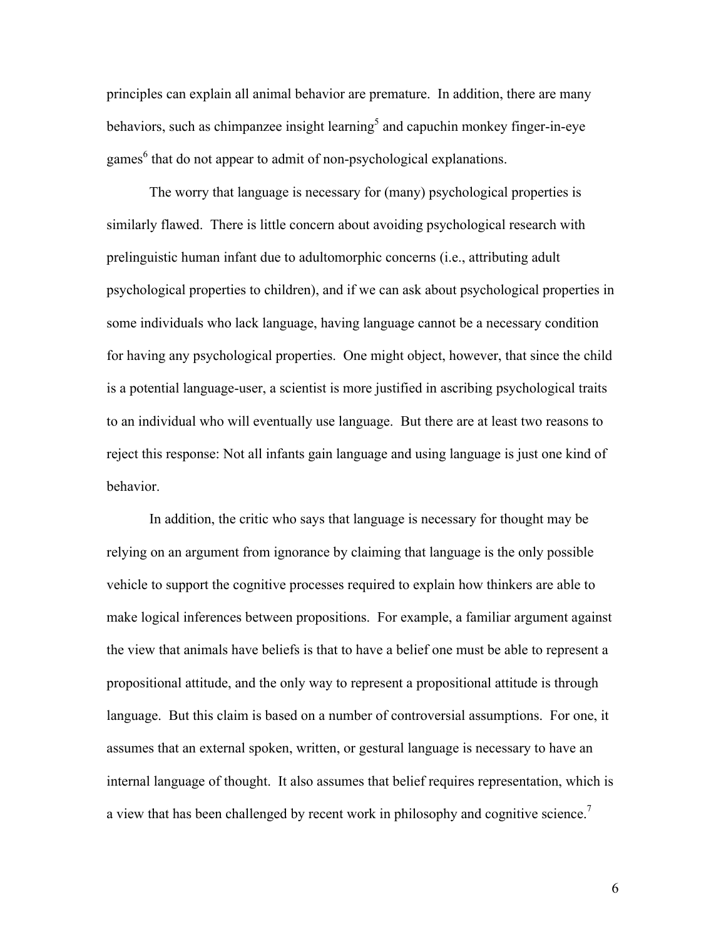principles can explain all animal behavior are premature. In addition, there are many behaviors, such as chimpanzee insight learning<sup>5</sup> and capuchin monkey finger-in-eye games<sup>6</sup> that do not appear to admit of non-psychological explanations.

The worry that language is necessary for (many) psychological properties is similarly flawed. There is little concern about avoiding psychological research with prelinguistic human infant due to adultomorphic concerns (i.e., attributing adult psychological properties to children), and if we can ask about psychological properties in some individuals who lack language, having language cannot be a necessary condition for having any psychological properties. One might object, however, that since the child is a potential language-user, a scientist is more justified in ascribing psychological traits to an individual who will eventually use language. But there are at least two reasons to reject this response: Not all infants gain language and using language is just one kind of behavior.

In addition, the critic who says that language is necessary for thought may be relying on an argument from ignorance by claiming that language is the only possible vehicle to support the cognitive processes required to explain how thinkers are able to make logical inferences between propositions. For example, a familiar argument against the view that animals have beliefs is that to have a belief one must be able to represent a propositional attitude, and the only way to represent a propositional attitude is through language. But this claim is based on a number of controversial assumptions. For one, it assumes that an external spoken, written, or gestural language is necessary to have an internal language of thought. It also assumes that belief requires representation, which is a view that has been challenged by recent work in philosophy and cognitive science.<sup>7</sup>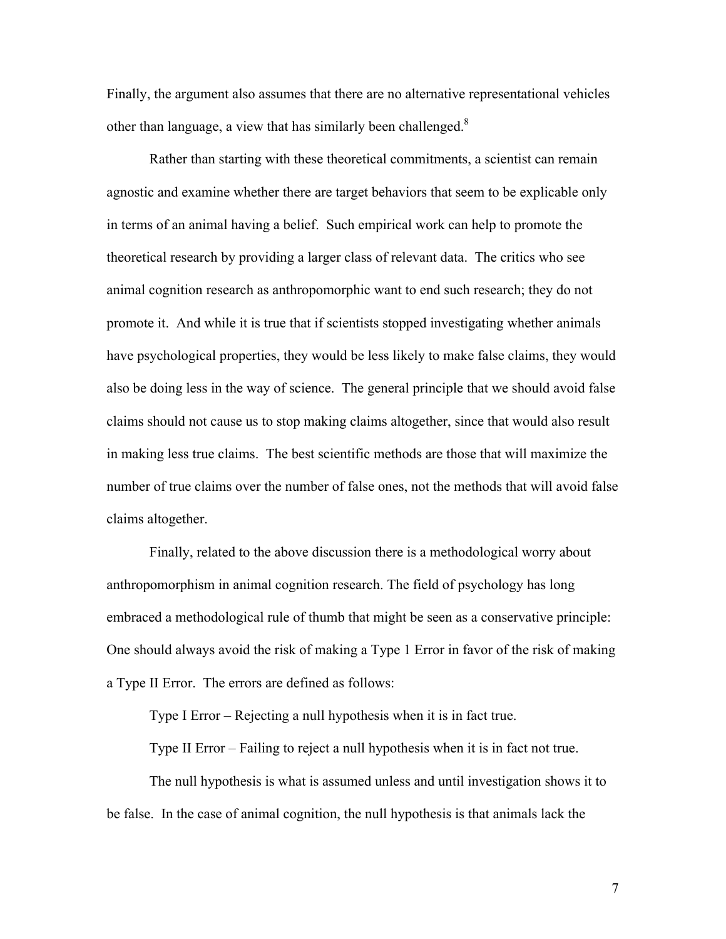Finally, the argument also assumes that there are no alternative representational vehicles other than language, a view that has similarly been challenged.<sup>8</sup>

Rather than starting with these theoretical commitments, a scientist can remain agnostic and examine whether there are target behaviors that seem to be explicable only in terms of an animal having a belief. Such empirical work can help to promote the theoretical research by providing a larger class of relevant data. The critics who see animal cognition research as anthropomorphic want to end such research; they do not promote it. And while it is true that if scientists stopped investigating whether animals have psychological properties, they would be less likely to make false claims, they would also be doing less in the way of science. The general principle that we should avoid false claims should not cause us to stop making claims altogether, since that would also result in making less true claims. The best scientific methods are those that will maximize the number of true claims over the number of false ones, not the methods that will avoid false claims altogether.

Finally, related to the above discussion there is a methodological worry about anthropomorphism in animal cognition research. The field of psychology has long embraced a methodological rule of thumb that might be seen as a conservative principle: One should always avoid the risk of making a Type 1 Error in favor of the risk of making a Type II Error. The errors are defined as follows:

Type I Error – Rejecting a null hypothesis when it is in fact true.

Type II Error – Failing to reject a null hypothesis when it is in fact not true.

The null hypothesis is what is assumed unless and until investigation shows it to be false. In the case of animal cognition, the null hypothesis is that animals lack the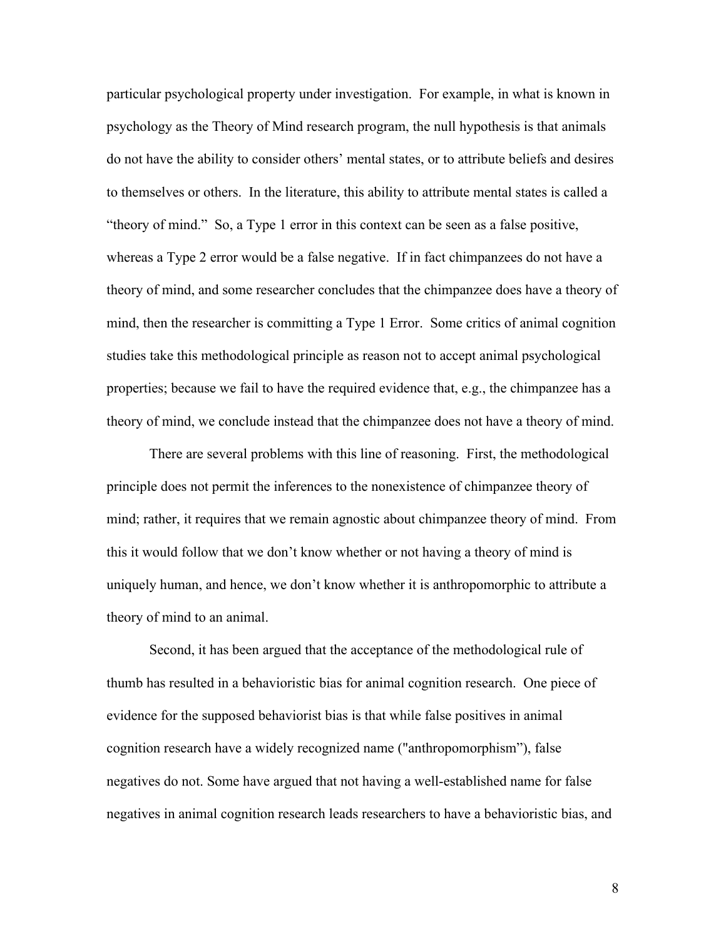particular psychological property under investigation. For example, in what is known in psychology as the Theory of Mind research program, the null hypothesis is that animals do not have the ability to consider others' mental states, or to attribute beliefs and desires to themselves or others. In the literature, this ability to attribute mental states is called a "theory of mind." So, a Type 1 error in this context can be seen as a false positive, whereas a Type 2 error would be a false negative. If in fact chimpanzees do not have a theory of mind, and some researcher concludes that the chimpanzee does have a theory of mind, then the researcher is committing a Type 1 Error. Some critics of animal cognition studies take this methodological principle as reason not to accept animal psychological properties; because we fail to have the required evidence that, e.g., the chimpanzee has a theory of mind, we conclude instead that the chimpanzee does not have a theory of mind.

There are several problems with this line of reasoning. First, the methodological principle does not permit the inferences to the nonexistence of chimpanzee theory of mind; rather, it requires that we remain agnostic about chimpanzee theory of mind. From this it would follow that we don't know whether or not having a theory of mind is uniquely human, and hence, we don't know whether it is anthropomorphic to attribute a theory of mind to an animal.

Second, it has been argued that the acceptance of the methodological rule of thumb has resulted in a behavioristic bias for animal cognition research. One piece of evidence for the supposed behaviorist bias is that while false positives in animal cognition research have a widely recognized name ("anthropomorphism"), false negatives do not. Some have argued that not having a well-established name for false negatives in animal cognition research leads researchers to have a behavioristic bias, and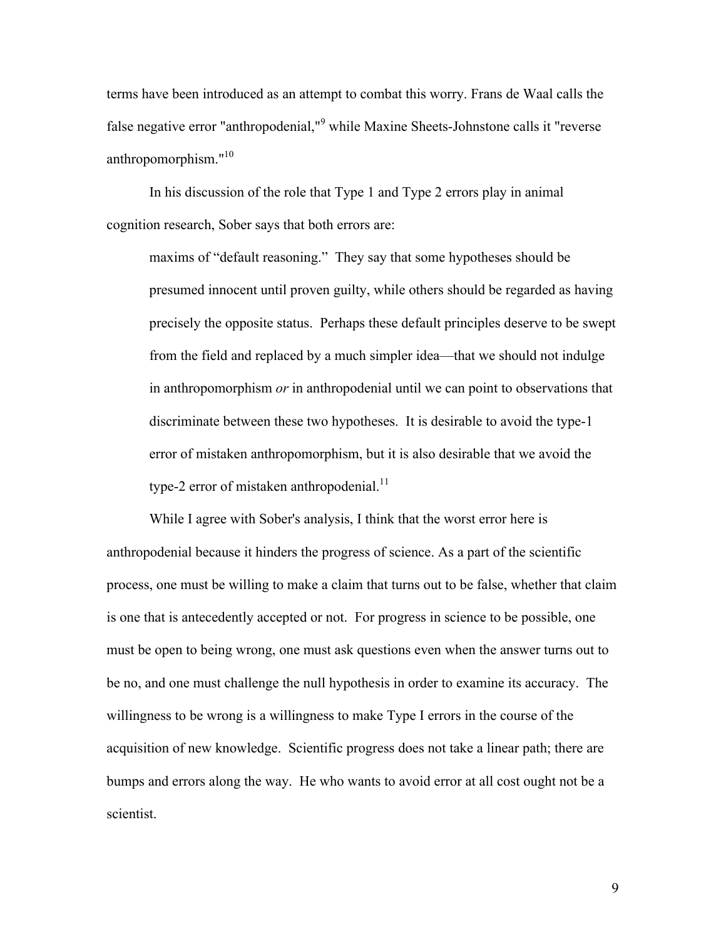terms have been introduced as an attempt to combat this worry. Frans de Waal calls the false negative error "anthropodenial,"<sup>9</sup> while Maxine Sheets-Johnstone calls it "reverse anthropomorphism."<sup>10</sup>

In his discussion of the role that Type 1 and Type 2 errors play in animal cognition research, Sober says that both errors are:

maxims of "default reasoning." They say that some hypotheses should be presumed innocent until proven guilty, while others should be regarded as having precisely the opposite status. Perhaps these default principles deserve to be swept from the field and replaced by a much simpler idea—that we should not indulge in anthropomorphism *or* in anthropodenial until we can point to observations that discriminate between these two hypotheses. It is desirable to avoid the type-1 error of mistaken anthropomorphism, but it is also desirable that we avoid the type-2 error of mistaken anthropodenial. $11$ 

While I agree with Sober's analysis, I think that the worst error here is anthropodenial because it hinders the progress of science. As a part of the scientific process, one must be willing to make a claim that turns out to be false, whether that claim is one that is antecedently accepted or not. For progress in science to be possible, one must be open to being wrong, one must ask questions even when the answer turns out to be no, and one must challenge the null hypothesis in order to examine its accuracy. The willingness to be wrong is a willingness to make Type I errors in the course of the acquisition of new knowledge. Scientific progress does not take a linear path; there are bumps and errors along the way. He who wants to avoid error at all cost ought not be a scientist.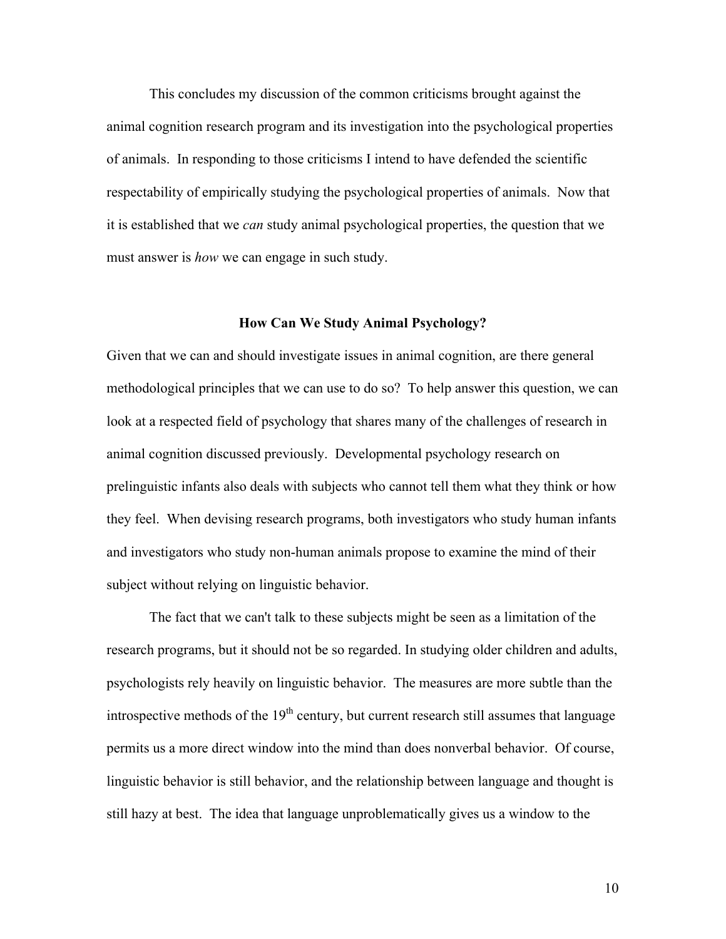This concludes my discussion of the common criticisms brought against the animal cognition research program and its investigation into the psychological properties of animals. In responding to those criticisms I intend to have defended the scientific respectability of empirically studying the psychological properties of animals. Now that it is established that we *can* study animal psychological properties, the question that we must answer is *how* we can engage in such study.

### **How Can We Study Animal Psychology?**

Given that we can and should investigate issues in animal cognition, are there general methodological principles that we can use to do so? To help answer this question, we can look at a respected field of psychology that shares many of the challenges of research in animal cognition discussed previously. Developmental psychology research on prelinguistic infants also deals with subjects who cannot tell them what they think or how they feel. When devising research programs, both investigators who study human infants and investigators who study non-human animals propose to examine the mind of their subject without relying on linguistic behavior.

The fact that we can't talk to these subjects might be seen as a limitation of the research programs, but it should not be so regarded. In studying older children and adults, psychologists rely heavily on linguistic behavior. The measures are more subtle than the introspective methods of the  $19<sup>th</sup>$  century, but current research still assumes that language permits us a more direct window into the mind than does nonverbal behavior. Of course, linguistic behavior is still behavior, and the relationship between language and thought is still hazy at best. The idea that language unproblematically gives us a window to the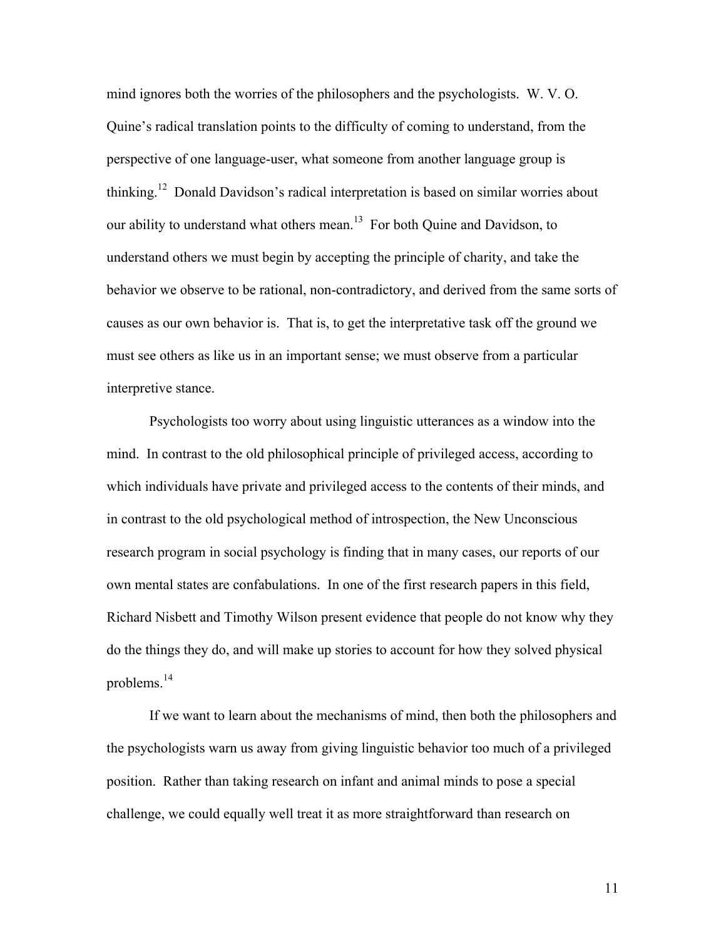mind ignores both the worries of the philosophers and the psychologists. W. V. O. Quine's radical translation points to the difficulty of coming to understand, from the perspective of one language-user, what someone from another language group is thinking.<sup>12</sup> Donald Davidson's radical interpretation is based on similar worries about our ability to understand what others mean.<sup>13</sup> For both Quine and Davidson, to understand others we must begin by accepting the principle of charity, and take the behavior we observe to be rational, non-contradictory, and derived from the same sorts of causes as our own behavior is. That is, to get the interpretative task off the ground we must see others as like us in an important sense; we must observe from a particular interpretive stance.

Psychologists too worry about using linguistic utterances as a window into the mind. In contrast to the old philosophical principle of privileged access, according to which individuals have private and privileged access to the contents of their minds, and in contrast to the old psychological method of introspection, the New Unconscious research program in social psychology is finding that in many cases, our reports of our own mental states are confabulations. In one of the first research papers in this field, Richard Nisbett and Timothy Wilson present evidence that people do not know why they do the things they do, and will make up stories to account for how they solved physical problems.<sup>14</sup>

If we want to learn about the mechanisms of mind, then both the philosophers and the psychologists warn us away from giving linguistic behavior too much of a privileged position. Rather than taking research on infant and animal minds to pose a special challenge, we could equally well treat it as more straightforward than research on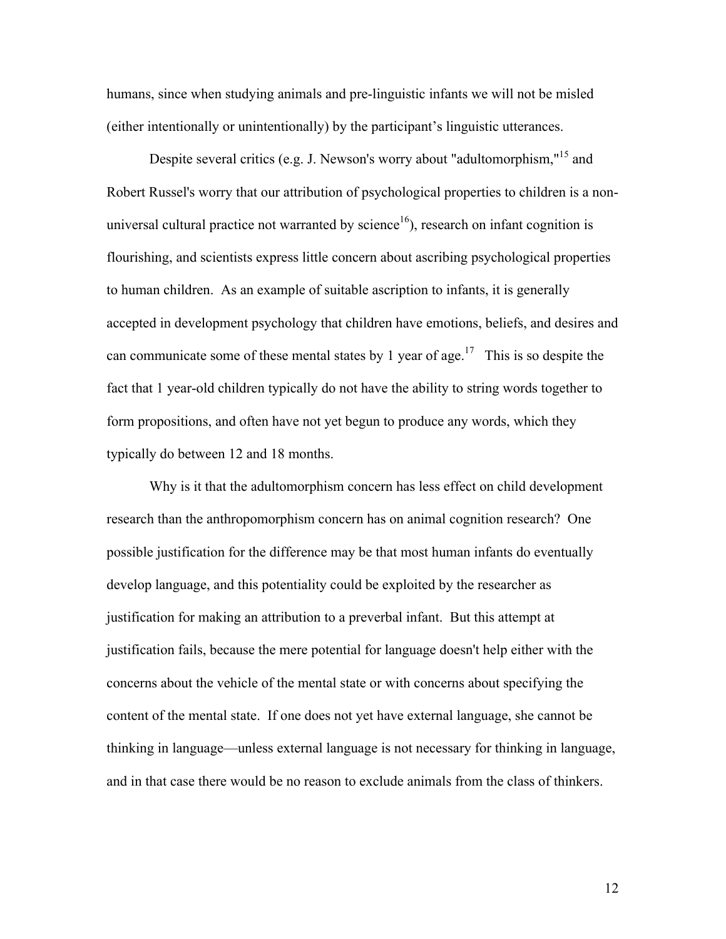humans, since when studying animals and pre-linguistic infants we will not be misled (either intentionally or unintentionally) by the participant's linguistic utterances.

Despite several critics (e.g. J. Newson's worry about "adultomorphism,"15 and Robert Russel's worry that our attribution of psychological properties to children is a nonuniversal cultural practice not warranted by science<sup>16</sup>), research on infant cognition is flourishing, and scientists express little concern about ascribing psychological properties to human children. As an example of suitable ascription to infants, it is generally accepted in development psychology that children have emotions, beliefs, and desires and can communicate some of these mental states by 1 year of age.<sup>17</sup> This is so despite the fact that 1 year-old children typically do not have the ability to string words together to form propositions, and often have not yet begun to produce any words, which they typically do between 12 and 18 months.

Why is it that the adultomorphism concern has less effect on child development research than the anthropomorphism concern has on animal cognition research? One possible justification for the difference may be that most human infants do eventually develop language, and this potentiality could be exploited by the researcher as justification for making an attribution to a preverbal infant. But this attempt at justification fails, because the mere potential for language doesn't help either with the concerns about the vehicle of the mental state or with concerns about specifying the content of the mental state. If one does not yet have external language, she cannot be thinking in language—unless external language is not necessary for thinking in language, and in that case there would be no reason to exclude animals from the class of thinkers.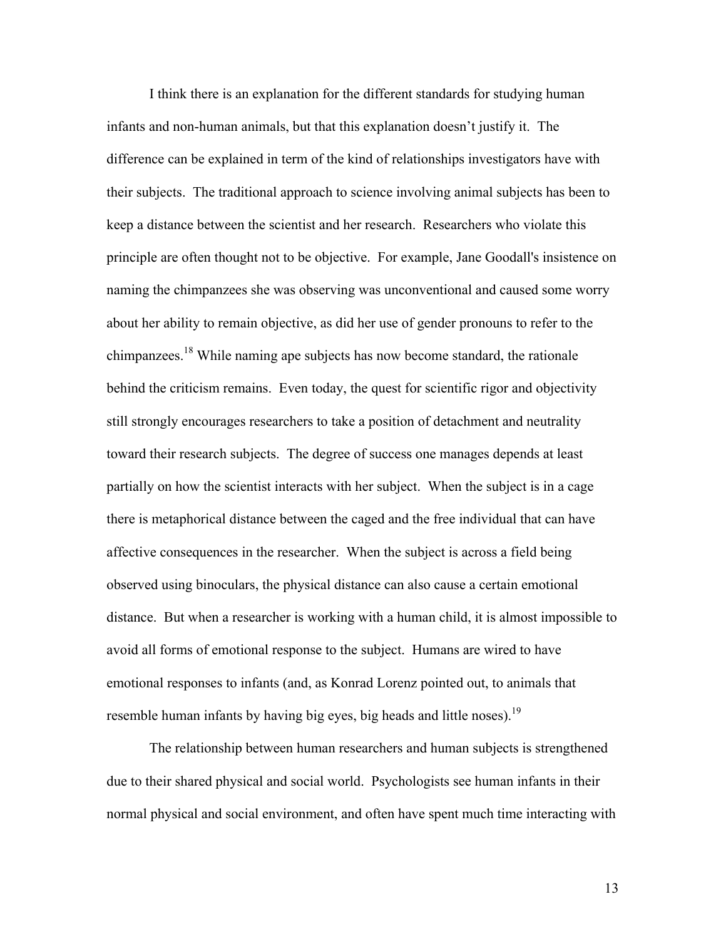I think there is an explanation for the different standards for studying human infants and non-human animals, but that this explanation doesn't justify it. The difference can be explained in term of the kind of relationships investigators have with their subjects. The traditional approach to science involving animal subjects has been to keep a distance between the scientist and her research. Researchers who violate this principle are often thought not to be objective. For example, Jane Goodall's insistence on naming the chimpanzees she was observing was unconventional and caused some worry about her ability to remain objective, as did her use of gender pronouns to refer to the chimpanzees.<sup>18</sup> While naming ape subjects has now become standard, the rationale behind the criticism remains. Even today, the quest for scientific rigor and objectivity still strongly encourages researchers to take a position of detachment and neutrality toward their research subjects. The degree of success one manages depends at least partially on how the scientist interacts with her subject. When the subject is in a cage there is metaphorical distance between the caged and the free individual that can have affective consequences in the researcher. When the subject is across a field being observed using binoculars, the physical distance can also cause a certain emotional distance. But when a researcher is working with a human child, it is almost impossible to avoid all forms of emotional response to the subject. Humans are wired to have emotional responses to infants (and, as Konrad Lorenz pointed out, to animals that resemble human infants by having big eyes, big heads and little noses).<sup>19</sup>

The relationship between human researchers and human subjects is strengthened due to their shared physical and social world. Psychologists see human infants in their normal physical and social environment, and often have spent much time interacting with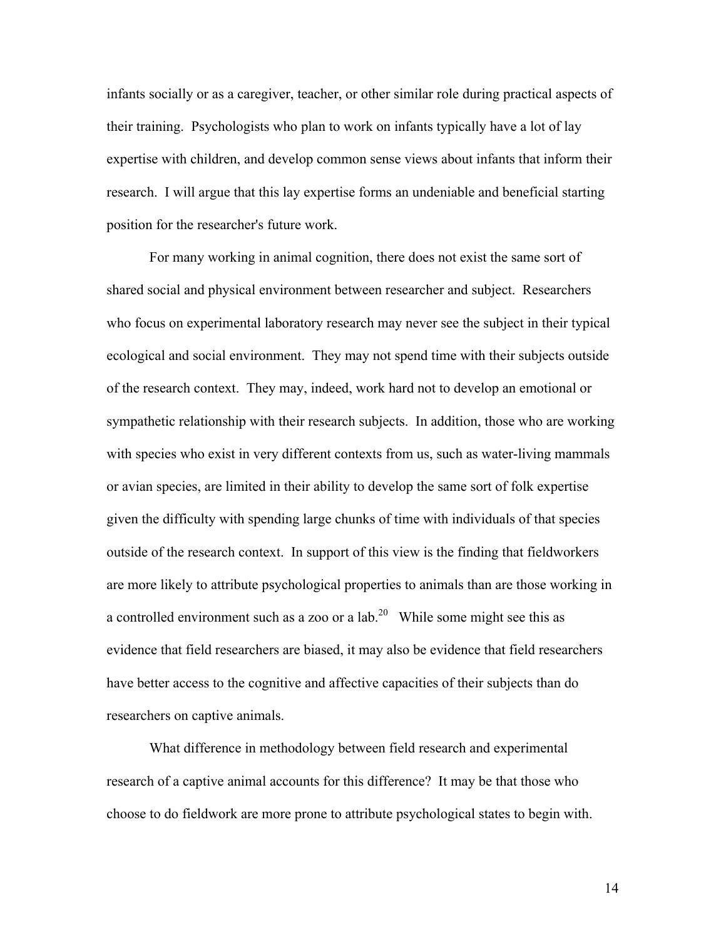infants socially or as a caregiver, teacher, or other similar role during practical aspects of their training. Psychologists who plan to work on infants typically have a lot of lay expertise with children, and develop common sense views about infants that inform their research. I will argue that this lay expertise forms an undeniable and beneficial starting position for the researcher's future work.

For many working in animal cognition, there does not exist the same sort of shared social and physical environment between researcher and subject. Researchers who focus on experimental laboratory research may never see the subject in their typical ecological and social environment. They may not spend time with their subjects outside of the research context. They may, indeed, work hard not to develop an emotional or sympathetic relationship with their research subjects. In addition, those who are working with species who exist in very different contexts from us, such as water-living mammals or avian species, are limited in their ability to develop the same sort of folk expertise given the difficulty with spending large chunks of time with individuals of that species outside of the research context. In support of this view is the finding that fieldworkers are more likely to attribute psychological properties to animals than are those working in a controlled environment such as a zoo or a lab.<sup>20</sup> While some might see this as evidence that field researchers are biased, it may also be evidence that field researchers have better access to the cognitive and affective capacities of their subjects than do researchers on captive animals.

What difference in methodology between field research and experimental research of a captive animal accounts for this difference? It may be that those who choose to do fieldwork are more prone to attribute psychological states to begin with.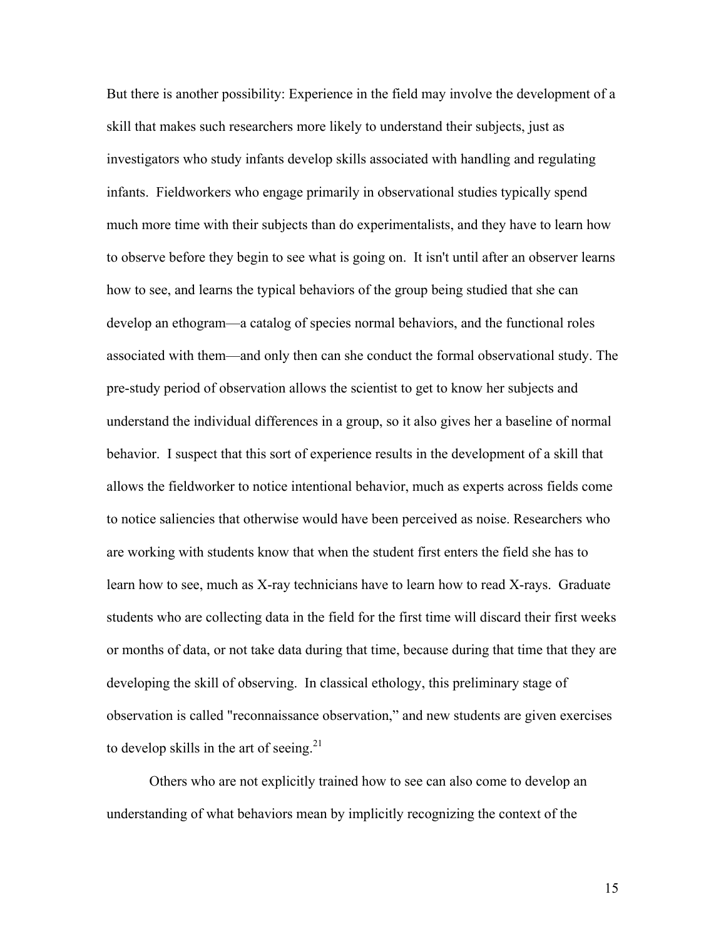But there is another possibility: Experience in the field may involve the development of a skill that makes such researchers more likely to understand their subjects, just as investigators who study infants develop skills associated with handling and regulating infants. Fieldworkers who engage primarily in observational studies typically spend much more time with their subjects than do experimentalists, and they have to learn how to observe before they begin to see what is going on. It isn't until after an observer learns how to see, and learns the typical behaviors of the group being studied that she can develop an ethogram—a catalog of species normal behaviors, and the functional roles associated with them—and only then can she conduct the formal observational study. The pre-study period of observation allows the scientist to get to know her subjects and understand the individual differences in a group, so it also gives her a baseline of normal behavior. I suspect that this sort of experience results in the development of a skill that allows the fieldworker to notice intentional behavior, much as experts across fields come to notice saliencies that otherwise would have been perceived as noise. Researchers who are working with students know that when the student first enters the field she has to learn how to see, much as X-ray technicians have to learn how to read X-rays. Graduate students who are collecting data in the field for the first time will discard their first weeks or months of data, or not take data during that time, because during that time that they are developing the skill of observing. In classical ethology, this preliminary stage of observation is called "reconnaissance observation," and new students are given exercises to develop skills in the art of seeing. $21$ 

Others who are not explicitly trained how to see can also come to develop an understanding of what behaviors mean by implicitly recognizing the context of the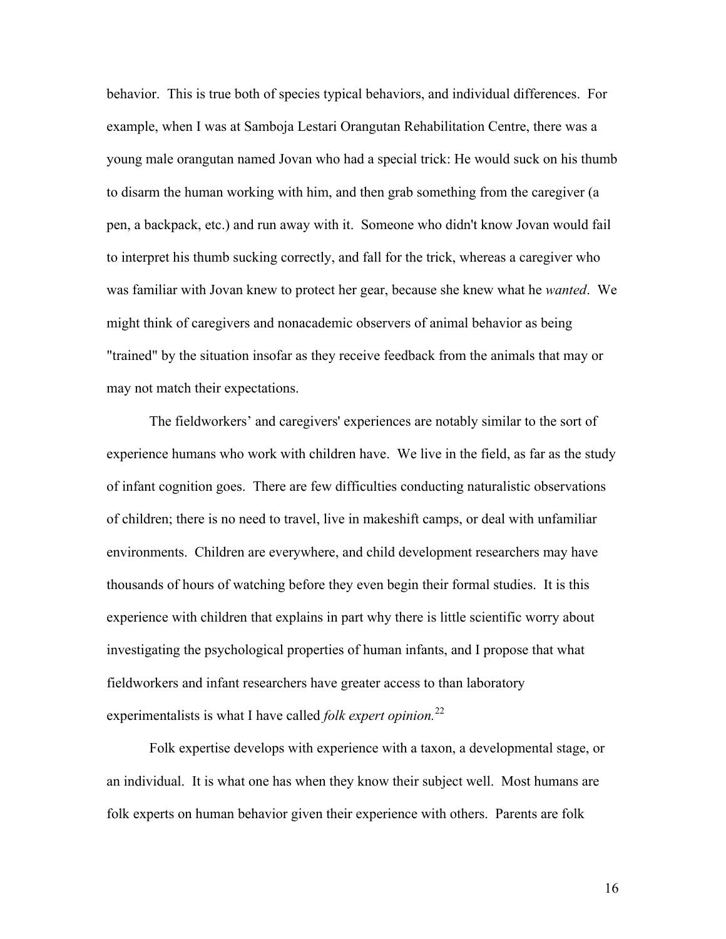behavior. This is true both of species typical behaviors, and individual differences. For example, when I was at Samboja Lestari Orangutan Rehabilitation Centre, there was a young male orangutan named Jovan who had a special trick: He would suck on his thumb to disarm the human working with him, and then grab something from the caregiver (a pen, a backpack, etc.) and run away with it. Someone who didn't know Jovan would fail to interpret his thumb sucking correctly, and fall for the trick, whereas a caregiver who was familiar with Jovan knew to protect her gear, because she knew what he *wanted*. We might think of caregivers and nonacademic observers of animal behavior as being "trained" by the situation insofar as they receive feedback from the animals that may or may not match their expectations.

The fieldworkers' and caregivers' experiences are notably similar to the sort of experience humans who work with children have. We live in the field, as far as the study of infant cognition goes. There are few difficulties conducting naturalistic observations of children; there is no need to travel, live in makeshift camps, or deal with unfamiliar environments. Children are everywhere, and child development researchers may have thousands of hours of watching before they even begin their formal studies. It is this experience with children that explains in part why there is little scientific worry about investigating the psychological properties of human infants, and I propose that what fieldworkers and infant researchers have greater access to than laboratory experimentalists is what I have called *folk expert opinion.*<sup>22</sup>

Folk expertise develops with experience with a taxon, a developmental stage, or an individual. It is what one has when they know their subject well. Most humans are folk experts on human behavior given their experience with others. Parents are folk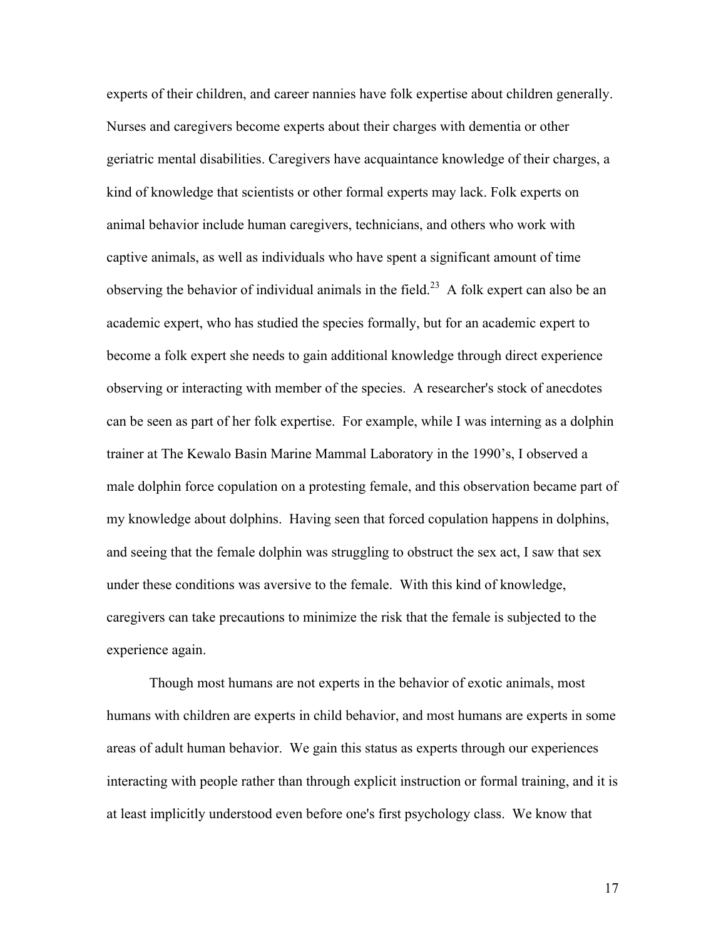experts of their children, and career nannies have folk expertise about children generally. Nurses and caregivers become experts about their charges with dementia or other geriatric mental disabilities. Caregivers have acquaintance knowledge of their charges, a kind of knowledge that scientists or other formal experts may lack. Folk experts on animal behavior include human caregivers, technicians, and others who work with captive animals, as well as individuals who have spent a significant amount of time observing the behavior of individual animals in the field.<sup>23</sup> A folk expert can also be an academic expert, who has studied the species formally, but for an academic expert to become a folk expert she needs to gain additional knowledge through direct experience observing or interacting with member of the species. A researcher's stock of anecdotes can be seen as part of her folk expertise. For example, while I was interning as a dolphin trainer at The Kewalo Basin Marine Mammal Laboratory in the 1990's, I observed a male dolphin force copulation on a protesting female, and this observation became part of my knowledge about dolphins. Having seen that forced copulation happens in dolphins, and seeing that the female dolphin was struggling to obstruct the sex act, I saw that sex under these conditions was aversive to the female. With this kind of knowledge, caregivers can take precautions to minimize the risk that the female is subjected to the experience again.

Though most humans are not experts in the behavior of exotic animals, most humans with children are experts in child behavior, and most humans are experts in some areas of adult human behavior. We gain this status as experts through our experiences interacting with people rather than through explicit instruction or formal training, and it is at least implicitly understood even before one's first psychology class. We know that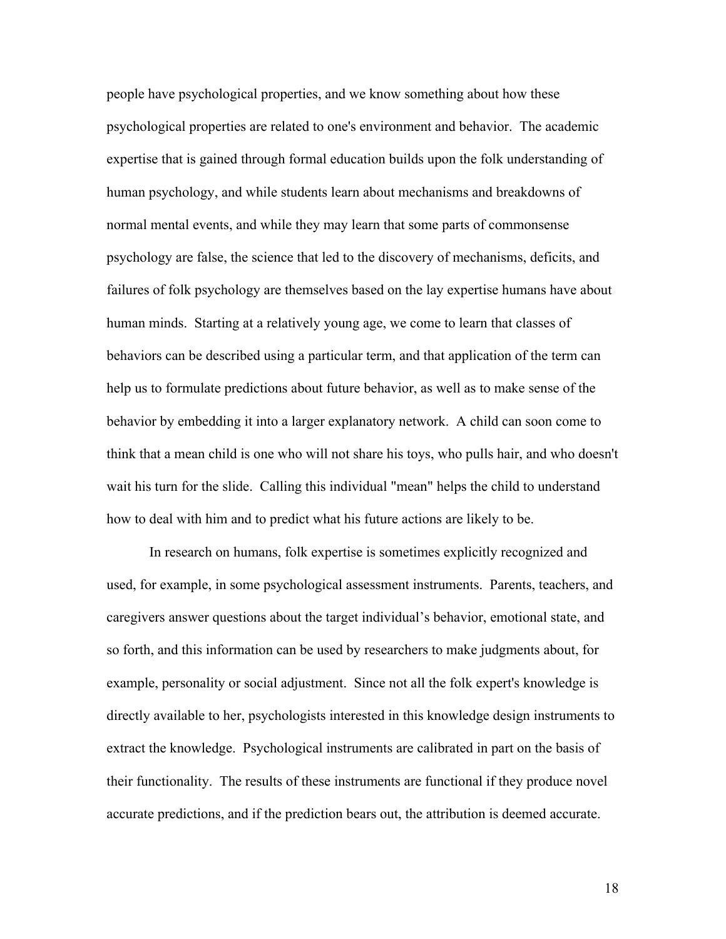people have psychological properties, and we know something about how these psychological properties are related to one's environment and behavior. The academic expertise that is gained through formal education builds upon the folk understanding of human psychology, and while students learn about mechanisms and breakdowns of normal mental events, and while they may learn that some parts of commonsense psychology are false, the science that led to the discovery of mechanisms, deficits, and failures of folk psychology are themselves based on the lay expertise humans have about human minds. Starting at a relatively young age, we come to learn that classes of behaviors can be described using a particular term, and that application of the term can help us to formulate predictions about future behavior, as well as to make sense of the behavior by embedding it into a larger explanatory network. A child can soon come to think that a mean child is one who will not share his toys, who pulls hair, and who doesn't wait his turn for the slide. Calling this individual "mean" helps the child to understand how to deal with him and to predict what his future actions are likely to be.

In research on humans, folk expertise is sometimes explicitly recognized and used, for example, in some psychological assessment instruments. Parents, teachers, and caregivers answer questions about the target individual's behavior, emotional state, and so forth, and this information can be used by researchers to make judgments about, for example, personality or social adjustment. Since not all the folk expert's knowledge is directly available to her, psychologists interested in this knowledge design instruments to extract the knowledge. Psychological instruments are calibrated in part on the basis of their functionality. The results of these instruments are functional if they produce novel accurate predictions, and if the prediction bears out, the attribution is deemed accurate.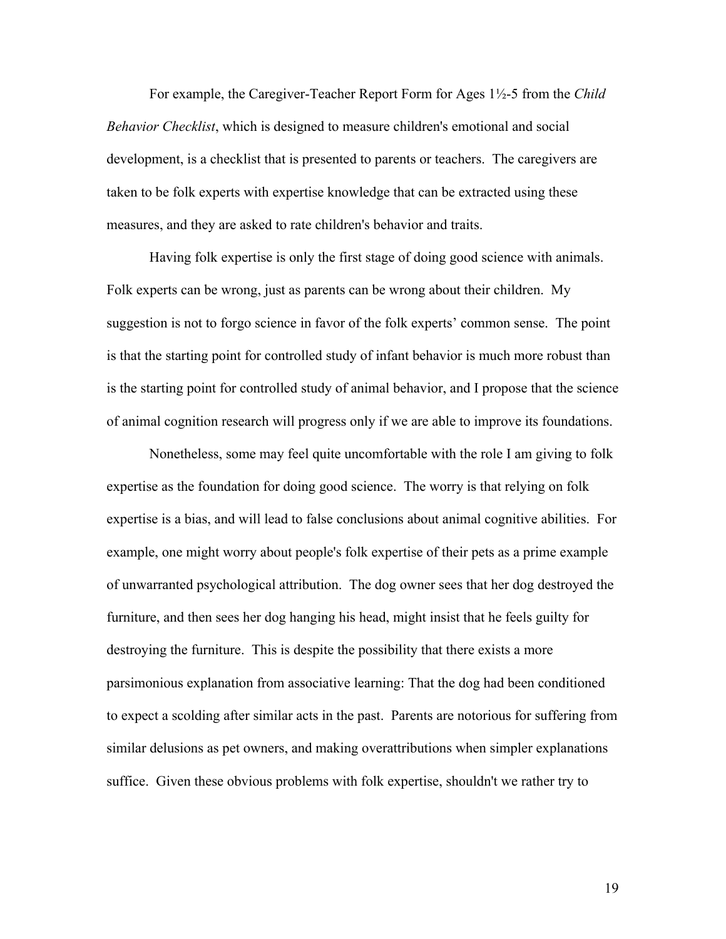For example, the Caregiver-Teacher Report Form for Ages 1½-5 from the *Child Behavior Checklist*, which is designed to measure children's emotional and social development, is a checklist that is presented to parents or teachers. The caregivers are taken to be folk experts with expertise knowledge that can be extracted using these measures, and they are asked to rate children's behavior and traits.

Having folk expertise is only the first stage of doing good science with animals. Folk experts can be wrong, just as parents can be wrong about their children. My suggestion is not to forgo science in favor of the folk experts' common sense. The point is that the starting point for controlled study of infant behavior is much more robust than is the starting point for controlled study of animal behavior, and I propose that the science of animal cognition research will progress only if we are able to improve its foundations.

Nonetheless, some may feel quite uncomfortable with the role I am giving to folk expertise as the foundation for doing good science. The worry is that relying on folk expertise is a bias, and will lead to false conclusions about animal cognitive abilities. For example, one might worry about people's folk expertise of their pets as a prime example of unwarranted psychological attribution. The dog owner sees that her dog destroyed the furniture, and then sees her dog hanging his head, might insist that he feels guilty for destroying the furniture. This is despite the possibility that there exists a more parsimonious explanation from associative learning: That the dog had been conditioned to expect a scolding after similar acts in the past. Parents are notorious for suffering from similar delusions as pet owners, and making overattributions when simpler explanations suffice. Given these obvious problems with folk expertise, shouldn't we rather try to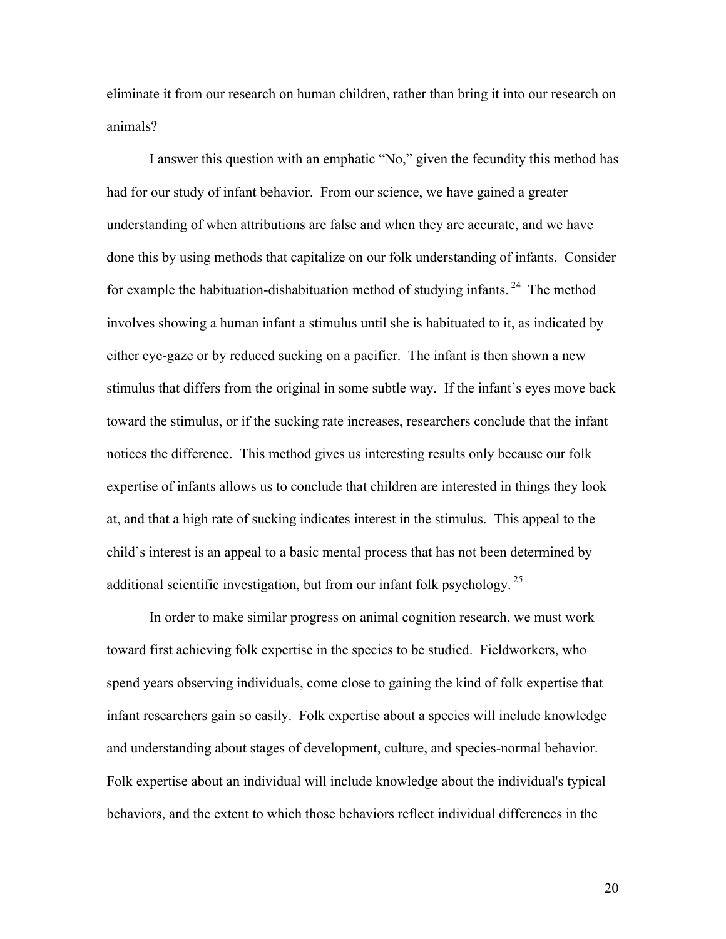eliminate it from our research on human children, rather than bring it into our research on animals?

I answer this question with an emphatic "No," given the fecundity this method has had for our study of infant behavior. From our science, we have gained a greater understanding of when attributions are false and when they are accurate, and we have done this by using methods that capitalize on our folk understanding of infants. Consider for example the habituation-dishabituation method of studying infants.  $24$  The method involves showing a human infant a stimulus until she is habituated to it, as indicated by either eye-gaze or by reduced sucking on a pacifier. The infant is then shown a new stimulus that differs from the original in some subtle way. If the infant's eyes move back toward the stimulus, or if the sucking rate increases, researchers conclude that the infant notices the difference. This method gives us interesting results only because our folk expertise of infants allows us to conclude that children are interested in things they look at, and that a high rate of sucking indicates interest in the stimulus. This appeal to the child's interest is an appeal to a basic mental process that has not been determined by additional scientific investigation, but from our infant folk psychology. <sup>25</sup>

In order to make similar progress on animal cognition research, we must work toward first achieving folk expertise in the species to be studied. Fieldworkers, who spend years observing individuals, come close to gaining the kind of folk expertise that infant researchers gain so easily. Folk expertise about a species will include knowledge and understanding about stages of development, culture, and species-normal behavior. Folk expertise about an individual will include knowledge about the individual's typical behaviors, and the extent to which those behaviors reflect individual differences in the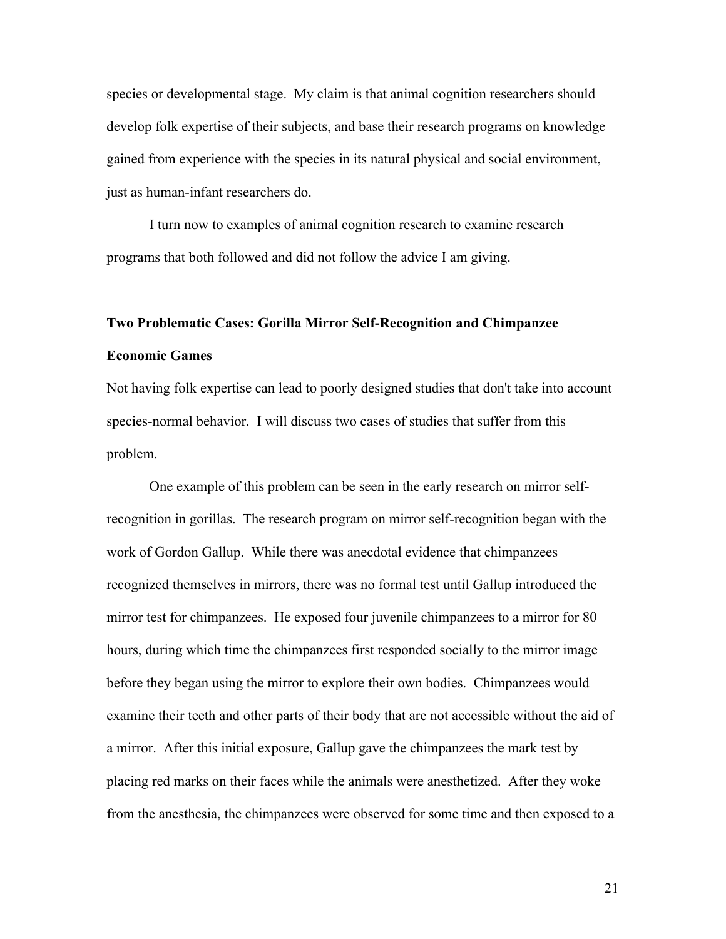species or developmental stage. My claim is that animal cognition researchers should develop folk expertise of their subjects, and base their research programs on knowledge gained from experience with the species in its natural physical and social environment, just as human-infant researchers do.

I turn now to examples of animal cognition research to examine research programs that both followed and did not follow the advice I am giving.

# **Two Problematic Cases: Gorilla Mirror Self-Recognition and Chimpanzee Economic Games**

Not having folk expertise can lead to poorly designed studies that don't take into account species-normal behavior. I will discuss two cases of studies that suffer from this problem.

One example of this problem can be seen in the early research on mirror selfrecognition in gorillas. The research program on mirror self-recognition began with the work of Gordon Gallup. While there was anecdotal evidence that chimpanzees recognized themselves in mirrors, there was no formal test until Gallup introduced the mirror test for chimpanzees. He exposed four juvenile chimpanzees to a mirror for 80 hours, during which time the chimpanzees first responded socially to the mirror image before they began using the mirror to explore their own bodies. Chimpanzees would examine their teeth and other parts of their body that are not accessible without the aid of a mirror. After this initial exposure, Gallup gave the chimpanzees the mark test by placing red marks on their faces while the animals were anesthetized. After they woke from the anesthesia, the chimpanzees were observed for some time and then exposed to a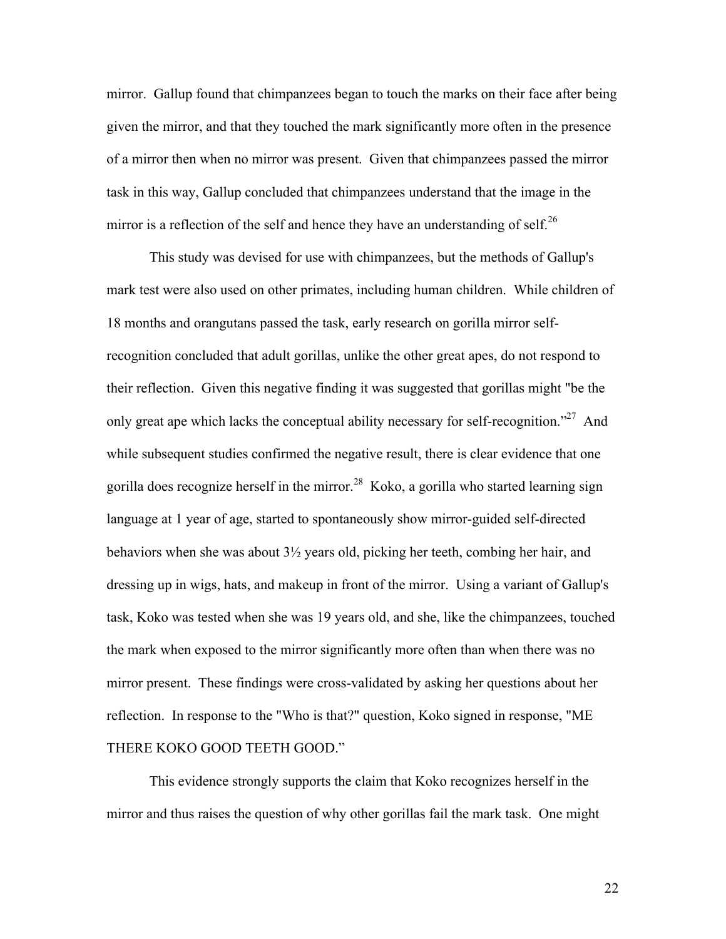mirror. Gallup found that chimpanzees began to touch the marks on their face after being given the mirror, and that they touched the mark significantly more often in the presence of a mirror then when no mirror was present. Given that chimpanzees passed the mirror task in this way, Gallup concluded that chimpanzees understand that the image in the mirror is a reflection of the self and hence they have an understanding of self.<sup>26</sup>

This study was devised for use with chimpanzees, but the methods of Gallup's mark test were also used on other primates, including human children. While children of 18 months and orangutans passed the task, early research on gorilla mirror selfrecognition concluded that adult gorillas, unlike the other great apes, do not respond to their reflection. Given this negative finding it was suggested that gorillas might "be the only great ape which lacks the conceptual ability necessary for self-recognition."<sup>27</sup> And while subsequent studies confirmed the negative result, there is clear evidence that one gorilla does recognize herself in the mirror.<sup>28</sup> Koko, a gorilla who started learning sign language at 1 year of age, started to spontaneously show mirror-guided self-directed behaviors when she was about 3½ years old, picking her teeth, combing her hair, and dressing up in wigs, hats, and makeup in front of the mirror. Using a variant of Gallup's task, Koko was tested when she was 19 years old, and she, like the chimpanzees, touched the mark when exposed to the mirror significantly more often than when there was no mirror present. These findings were cross-validated by asking her questions about her reflection. In response to the "Who is that?" question, Koko signed in response, "ME THERE KOKO GOOD TEETH GOOD."

This evidence strongly supports the claim that Koko recognizes herself in the mirror and thus raises the question of why other gorillas fail the mark task. One might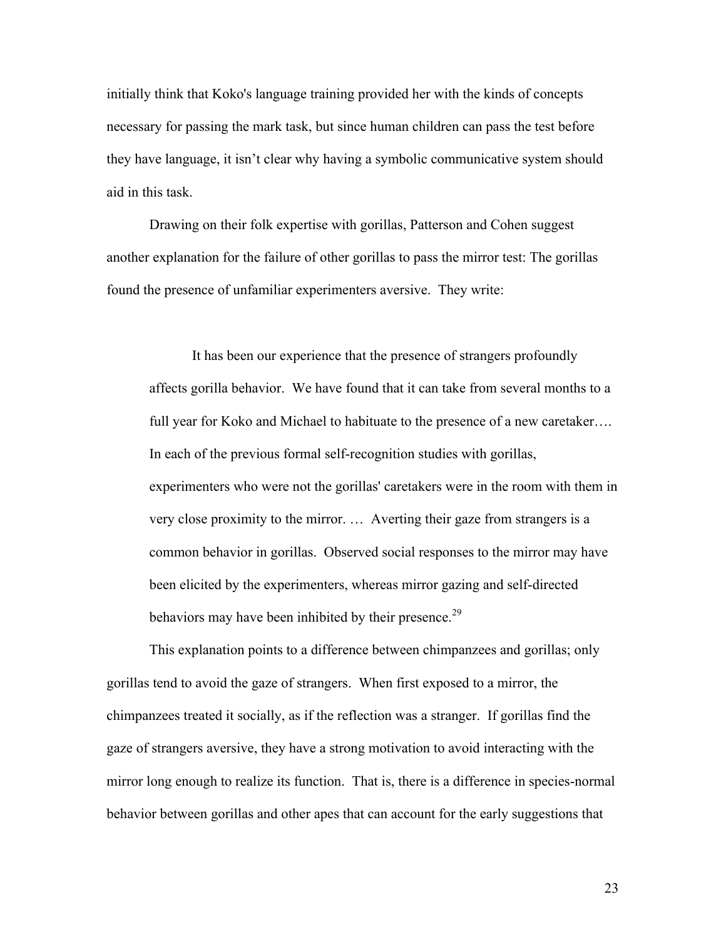initially think that Koko's language training provided her with the kinds of concepts necessary for passing the mark task, but since human children can pass the test before they have language, it isn't clear why having a symbolic communicative system should aid in this task.

Drawing on their folk expertise with gorillas, Patterson and Cohen suggest another explanation for the failure of other gorillas to pass the mirror test: The gorillas found the presence of unfamiliar experimenters aversive. They write:

It has been our experience that the presence of strangers profoundly affects gorilla behavior. We have found that it can take from several months to a full year for Koko and Michael to habituate to the presence of a new caretaker... In each of the previous formal self-recognition studies with gorillas, experimenters who were not the gorillas' caretakers were in the room with them in very close proximity to the mirror. … Averting their gaze from strangers is a common behavior in gorillas. Observed social responses to the mirror may have been elicited by the experimenters, whereas mirror gazing and self-directed behaviors may have been inhibited by their presence.<sup>29</sup>

This explanation points to a difference between chimpanzees and gorillas; only gorillas tend to avoid the gaze of strangers. When first exposed to a mirror, the chimpanzees treated it socially, as if the reflection was a stranger. If gorillas find the gaze of strangers aversive, they have a strong motivation to avoid interacting with the mirror long enough to realize its function. That is, there is a difference in species-normal behavior between gorillas and other apes that can account for the early suggestions that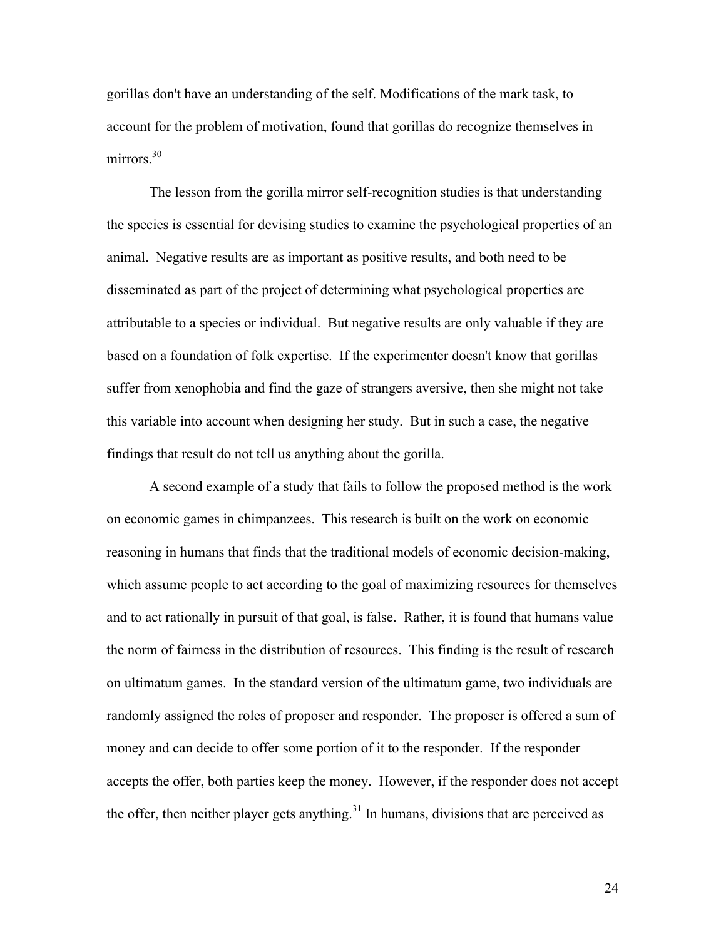gorillas don't have an understanding of the self. Modifications of the mark task, to account for the problem of motivation, found that gorillas do recognize themselves in mirrors $^{30}$ 

The lesson from the gorilla mirror self-recognition studies is that understanding the species is essential for devising studies to examine the psychological properties of an animal. Negative results are as important as positive results, and both need to be disseminated as part of the project of determining what psychological properties are attributable to a species or individual. But negative results are only valuable if they are based on a foundation of folk expertise. If the experimenter doesn't know that gorillas suffer from xenophobia and find the gaze of strangers aversive, then she might not take this variable into account when designing her study. But in such a case, the negative findings that result do not tell us anything about the gorilla.

A second example of a study that fails to follow the proposed method is the work on economic games in chimpanzees. This research is built on the work on economic reasoning in humans that finds that the traditional models of economic decision-making, which assume people to act according to the goal of maximizing resources for themselves and to act rationally in pursuit of that goal, is false. Rather, it is found that humans value the norm of fairness in the distribution of resources. This finding is the result of research on ultimatum games. In the standard version of the ultimatum game, two individuals are randomly assigned the roles of proposer and responder. The proposer is offered a sum of money and can decide to offer some portion of it to the responder. If the responder accepts the offer, both parties keep the money. However, if the responder does not accept the offer, then neither player gets anything.<sup>31</sup> In humans, divisions that are perceived as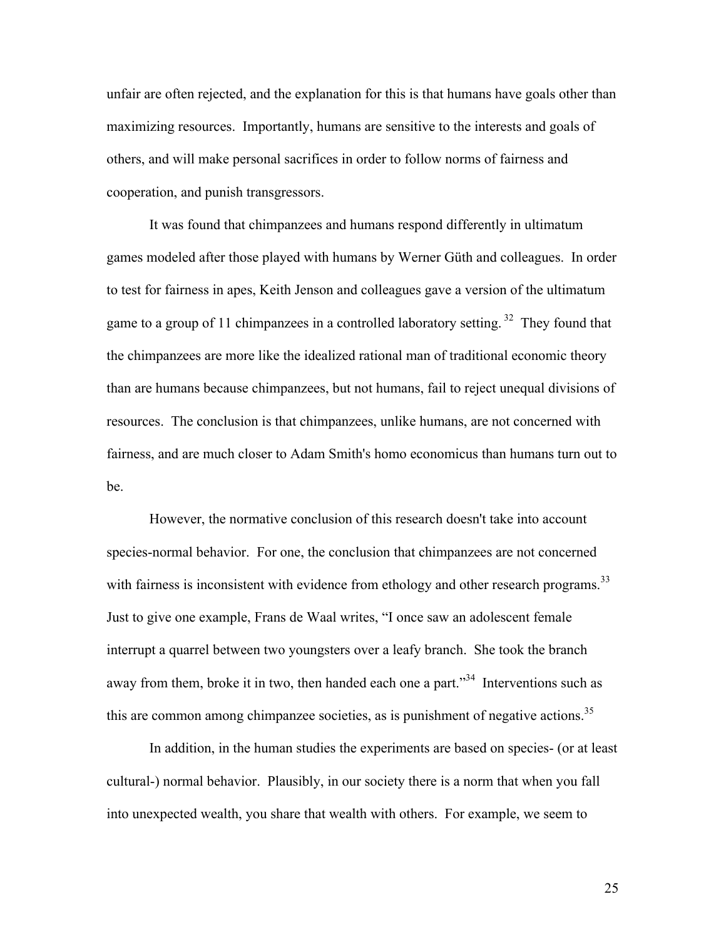unfair are often rejected, and the explanation for this is that humans have goals other than maximizing resources. Importantly, humans are sensitive to the interests and goals of others, and will make personal sacrifices in order to follow norms of fairness and cooperation, and punish transgressors.

It was found that chimpanzees and humans respond differently in ultimatum games modeled after those played with humans by Werner Güth and colleagues. In order to test for fairness in apes, Keith Jenson and colleagues gave a version of the ultimatum game to a group of 11 chimpanzees in a controlled laboratory setting.<sup>32</sup> They found that the chimpanzees are more like the idealized rational man of traditional economic theory than are humans because chimpanzees, but not humans, fail to reject unequal divisions of resources. The conclusion is that chimpanzees, unlike humans, are not concerned with fairness, and are much closer to Adam Smith's homo economicus than humans turn out to be.

However, the normative conclusion of this research doesn't take into account species-normal behavior. For one, the conclusion that chimpanzees are not concerned with fairness is inconsistent with evidence from ethology and other research programs.<sup>33</sup> Just to give one example, Frans de Waal writes, "I once saw an adolescent female interrupt a quarrel between two youngsters over a leafy branch. She took the branch away from them, broke it in two, then handed each one a part."<sup>34</sup> Interventions such as this are common among chimpanzee societies, as is punishment of negative actions.<sup>35</sup>

In addition, in the human studies the experiments are based on species- (or at least cultural-) normal behavior. Plausibly, in our society there is a norm that when you fall into unexpected wealth, you share that wealth with others. For example, we seem to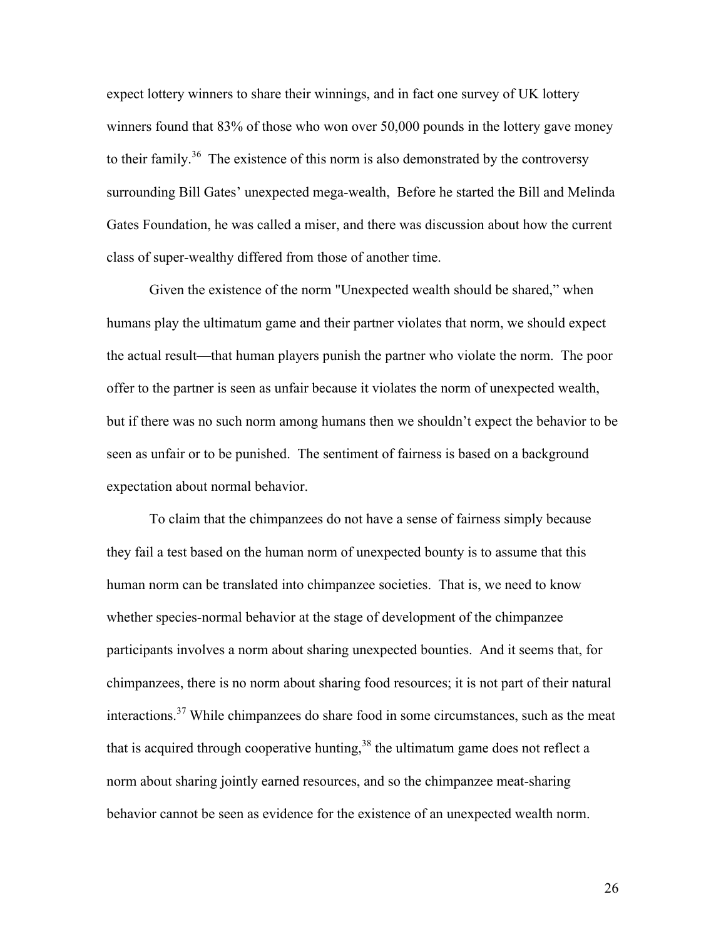expect lottery winners to share their winnings, and in fact one survey of UK lottery winners found that 83% of those who won over 50,000 pounds in the lottery gave money to their family.<sup>36</sup> The existence of this norm is also demonstrated by the controversy surrounding Bill Gates' unexpected mega-wealth, Before he started the Bill and Melinda Gates Foundation, he was called a miser, and there was discussion about how the current class of super-wealthy differed from those of another time.

Given the existence of the norm "Unexpected wealth should be shared," when humans play the ultimatum game and their partner violates that norm, we should expect the actual result—that human players punish the partner who violate the norm. The poor offer to the partner is seen as unfair because it violates the norm of unexpected wealth, but if there was no such norm among humans then we shouldn't expect the behavior to be seen as unfair or to be punished. The sentiment of fairness is based on a background expectation about normal behavior.

To claim that the chimpanzees do not have a sense of fairness simply because they fail a test based on the human norm of unexpected bounty is to assume that this human norm can be translated into chimpanzee societies. That is, we need to know whether species-normal behavior at the stage of development of the chimpanzee participants involves a norm about sharing unexpected bounties. And it seems that, for chimpanzees, there is no norm about sharing food resources; it is not part of their natural interactions.<sup>37</sup> While chimpanzees do share food in some circumstances, such as the meat that is acquired through cooperative hunting,  $38$  the ultimatum game does not reflect a norm about sharing jointly earned resources, and so the chimpanzee meat-sharing behavior cannot be seen as evidence for the existence of an unexpected wealth norm.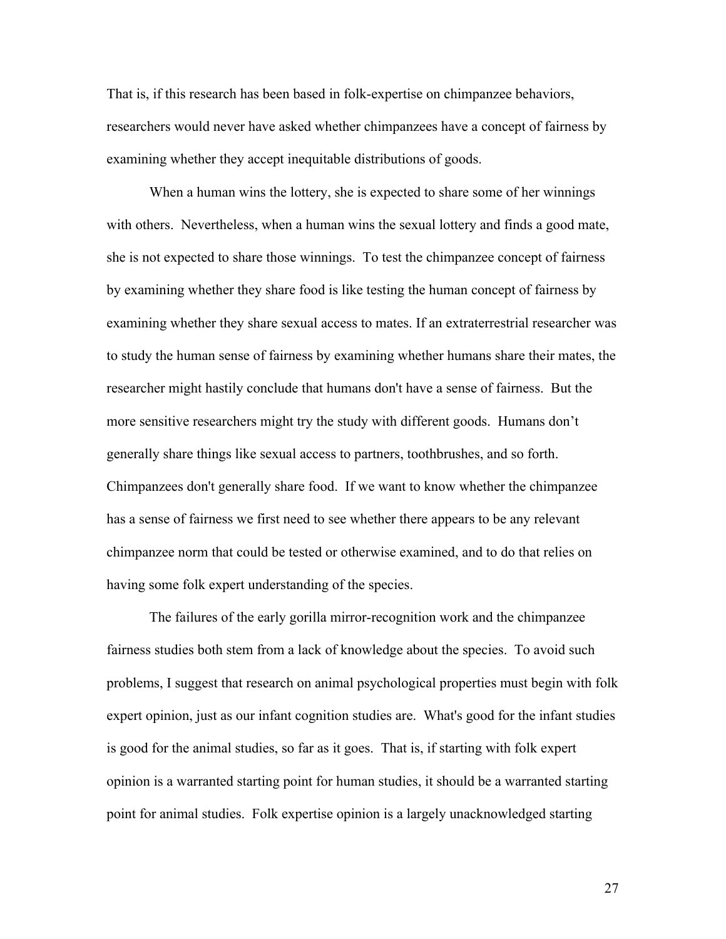That is, if this research has been based in folk-expertise on chimpanzee behaviors, researchers would never have asked whether chimpanzees have a concept of fairness by examining whether they accept inequitable distributions of goods.

When a human wins the lottery, she is expected to share some of her winnings with others. Nevertheless, when a human wins the sexual lottery and finds a good mate, she is not expected to share those winnings. To test the chimpanzee concept of fairness by examining whether they share food is like testing the human concept of fairness by examining whether they share sexual access to mates. If an extraterrestrial researcher was to study the human sense of fairness by examining whether humans share their mates, the researcher might hastily conclude that humans don't have a sense of fairness. But the more sensitive researchers might try the study with different goods. Humans don't generally share things like sexual access to partners, toothbrushes, and so forth. Chimpanzees don't generally share food. If we want to know whether the chimpanzee has a sense of fairness we first need to see whether there appears to be any relevant chimpanzee norm that could be tested or otherwise examined, and to do that relies on having some folk expert understanding of the species.

The failures of the early gorilla mirror-recognition work and the chimpanzee fairness studies both stem from a lack of knowledge about the species. To avoid such problems, I suggest that research on animal psychological properties must begin with folk expert opinion, just as our infant cognition studies are. What's good for the infant studies is good for the animal studies, so far as it goes. That is, if starting with folk expert opinion is a warranted starting point for human studies, it should be a warranted starting point for animal studies. Folk expertise opinion is a largely unacknowledged starting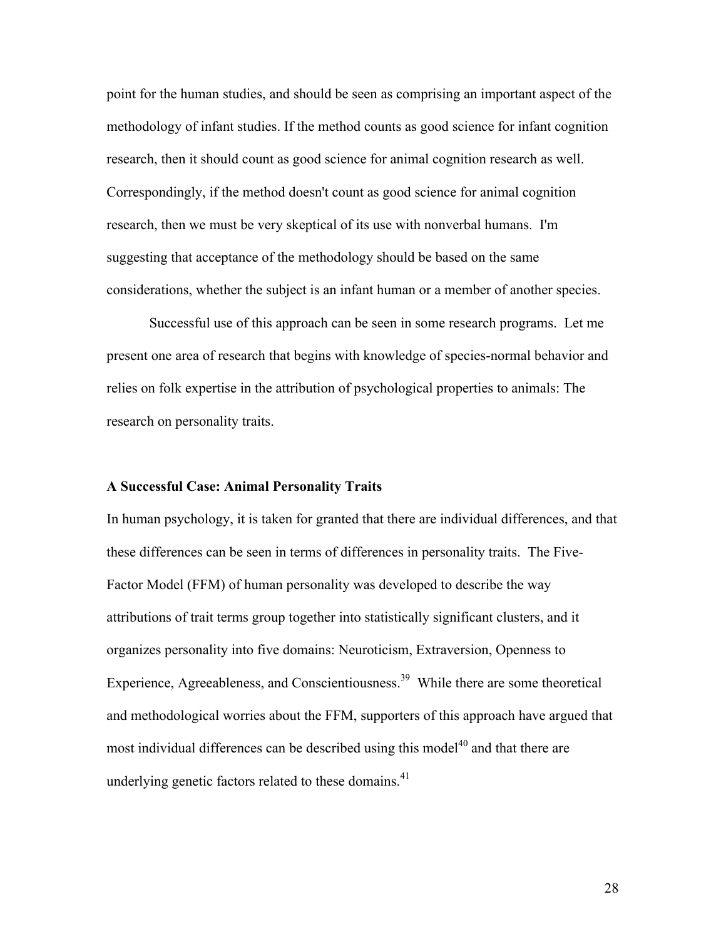point for the human studies, and should be seen as comprising an important aspect of the methodology of infant studies. If the method counts as good science for infant cognition research, then it should count as good science for animal cognition research as well. Correspondingly, if the method doesn't count as good science for animal cognition research, then we must be very skeptical of its use with nonverbal humans. I'm suggesting that acceptance of the methodology should be based on the same considerations, whether the subject is an infant human or a member of another species.

Successful use of this approach can be seen in some research programs. Let me present one area of research that begins with knowledge of species-normal behavior and relies on folk expertise in the attribution of psychological properties to animals: The research on personality traits.

### **A Successful Case: Animal Personality Traits**

In human psychology, it is taken for granted that there are individual differences, and that these differences can be seen in terms of differences in personality traits. The Five-Factor Model (FFM) of human personality was developed to describe the way attributions of trait terms group together into statistically significant clusters, and it organizes personality into five domains: Neuroticism, Extraversion, Openness to Experience, Agreeableness, and Conscientiousness.<sup>39</sup> While there are some theoretical and methodological worries about the FFM, supporters of this approach have argued that most individual differences can be described using this model<sup>40</sup> and that there are underlying genetic factors related to these domains. $41$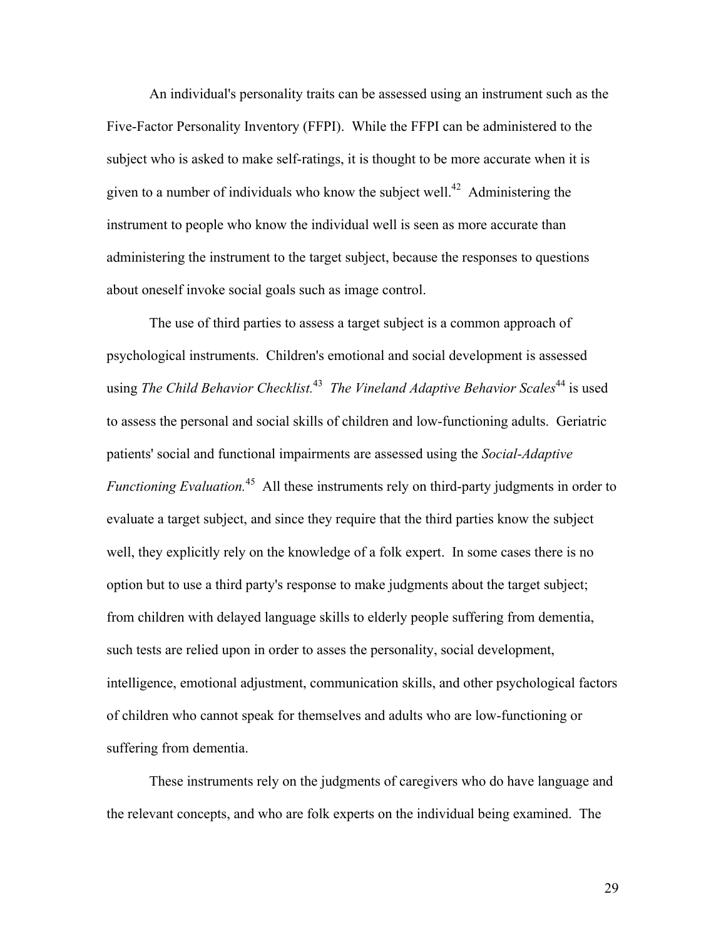An individual's personality traits can be assessed using an instrument such as the Five-Factor Personality Inventory (FFPI). While the FFPI can be administered to the subject who is asked to make self-ratings, it is thought to be more accurate when it is given to a number of individuals who know the subject well.<sup>42</sup> Administering the instrument to people who know the individual well is seen as more accurate than administering the instrument to the target subject, because the responses to questions about oneself invoke social goals such as image control.

The use of third parties to assess a target subject is a common approach of psychological instruments. Children's emotional and social development is assessed using *The Child Behavior Checklist*.<sup>43</sup> *The Vineland Adaptive Behavior Scales*<sup>44</sup> is used to assess the personal and social skills of children and low-functioning adults. Geriatric patients' social and functional impairments are assessed using the *Social-Adaptive Functioning Evaluation*<sup>45</sup> All these instruments rely on third-party judgments in order to evaluate a target subject, and since they require that the third parties know the subject well, they explicitly rely on the knowledge of a folk expert. In some cases there is no option but to use a third party's response to make judgments about the target subject; from children with delayed language skills to elderly people suffering from dementia, such tests are relied upon in order to asses the personality, social development, intelligence, emotional adjustment, communication skills, and other psychological factors of children who cannot speak for themselves and adults who are low-functioning or suffering from dementia.

These instruments rely on the judgments of caregivers who do have language and the relevant concepts, and who are folk experts on the individual being examined. The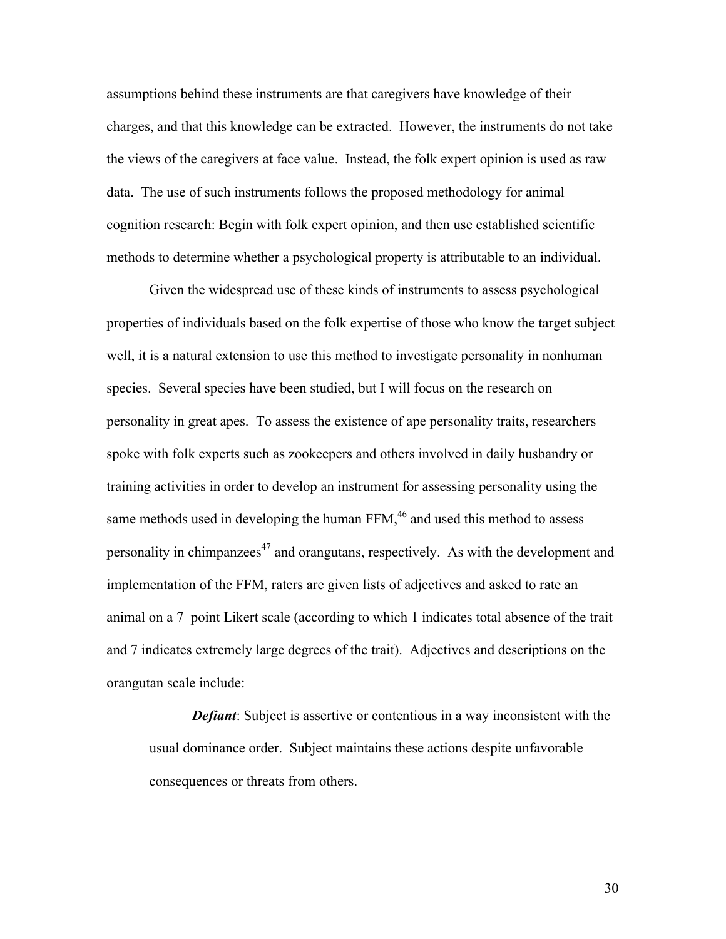assumptions behind these instruments are that caregivers have knowledge of their charges, and that this knowledge can be extracted. However, the instruments do not take the views of the caregivers at face value. Instead, the folk expert opinion is used as raw data. The use of such instruments follows the proposed methodology for animal cognition research: Begin with folk expert opinion, and then use established scientific methods to determine whether a psychological property is attributable to an individual.

Given the widespread use of these kinds of instruments to assess psychological properties of individuals based on the folk expertise of those who know the target subject well, it is a natural extension to use this method to investigate personality in nonhuman species. Several species have been studied, but I will focus on the research on personality in great apes. To assess the existence of ape personality traits, researchers spoke with folk experts such as zookeepers and others involved in daily husbandry or training activities in order to develop an instrument for assessing personality using the same methods used in developing the human  $FFM<sub>1</sub><sup>46</sup>$  and used this method to assess personality in chimpanzes<sup>47</sup> and orangutans, respectively. As with the development and implementation of the FFM, raters are given lists of adjectives and asked to rate an animal on a 7–point Likert scale (according to which 1 indicates total absence of the trait and 7 indicates extremely large degrees of the trait). Adjectives and descriptions on the orangutan scale include:

*Defiant*: Subject is assertive or contentious in a way inconsistent with the usual dominance order. Subject maintains these actions despite unfavorable consequences or threats from others.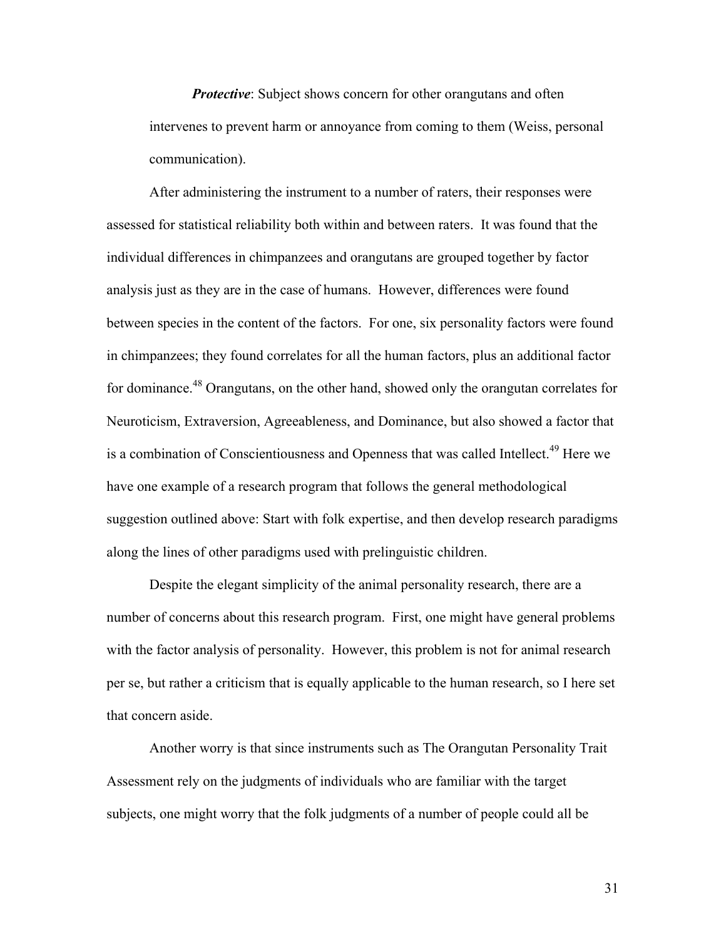*Protective*: Subject shows concern for other orangutans and often intervenes to prevent harm or annoyance from coming to them (Weiss, personal communication).

After administering the instrument to a number of raters, their responses were assessed for statistical reliability both within and between raters. It was found that the individual differences in chimpanzees and orangutans are grouped together by factor analysis just as they are in the case of humans. However, differences were found between species in the content of the factors. For one, six personality factors were found in chimpanzees; they found correlates for all the human factors, plus an additional factor for dominance.<sup>48</sup> Orangutans, on the other hand, showed only the orangutan correlates for Neuroticism, Extraversion, Agreeableness, and Dominance, but also showed a factor that is a combination of Conscientiousness and Openness that was called Intellect.<sup>49</sup> Here we have one example of a research program that follows the general methodological suggestion outlined above: Start with folk expertise, and then develop research paradigms along the lines of other paradigms used with prelinguistic children.

Despite the elegant simplicity of the animal personality research, there are a number of concerns about this research program. First, one might have general problems with the factor analysis of personality. However, this problem is not for animal research per se, but rather a criticism that is equally applicable to the human research, so I here set that concern aside.

Another worry is that since instruments such as The Orangutan Personality Trait Assessment rely on the judgments of individuals who are familiar with the target subjects, one might worry that the folk judgments of a number of people could all be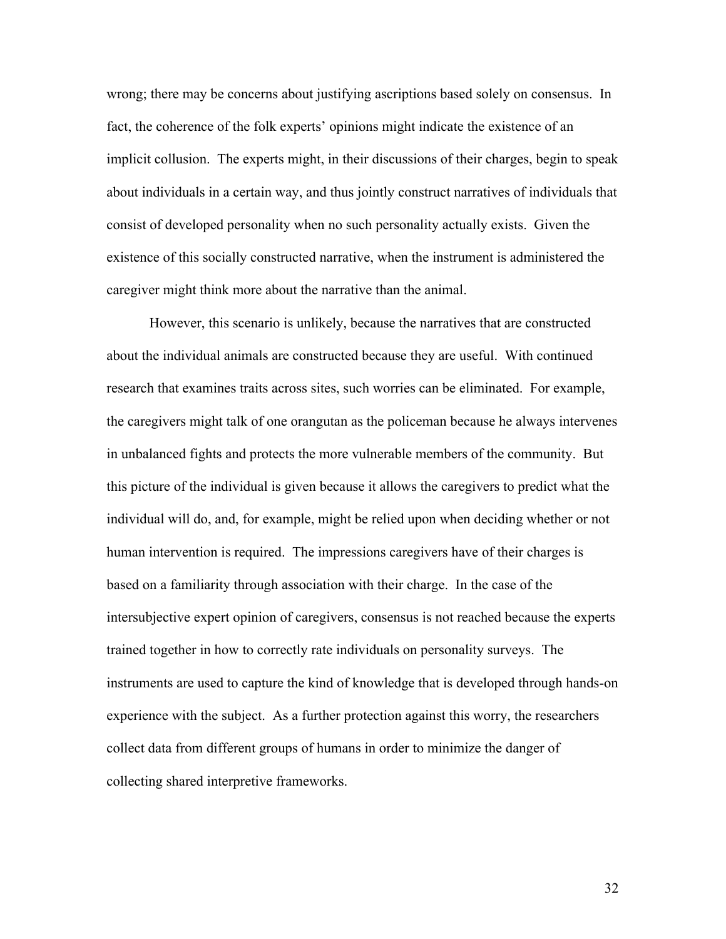wrong; there may be concerns about justifying ascriptions based solely on consensus. In fact, the coherence of the folk experts' opinions might indicate the existence of an implicit collusion. The experts might, in their discussions of their charges, begin to speak about individuals in a certain way, and thus jointly construct narratives of individuals that consist of developed personality when no such personality actually exists. Given the existence of this socially constructed narrative, when the instrument is administered the caregiver might think more about the narrative than the animal.

However, this scenario is unlikely, because the narratives that are constructed about the individual animals are constructed because they are useful. With continued research that examines traits across sites, such worries can be eliminated. For example, the caregivers might talk of one orangutan as the policeman because he always intervenes in unbalanced fights and protects the more vulnerable members of the community. But this picture of the individual is given because it allows the caregivers to predict what the individual will do, and, for example, might be relied upon when deciding whether or not human intervention is required. The impressions caregivers have of their charges is based on a familiarity through association with their charge. In the case of the intersubjective expert opinion of caregivers, consensus is not reached because the experts trained together in how to correctly rate individuals on personality surveys. The instruments are used to capture the kind of knowledge that is developed through hands-on experience with the subject. As a further protection against this worry, the researchers collect data from different groups of humans in order to minimize the danger of collecting shared interpretive frameworks.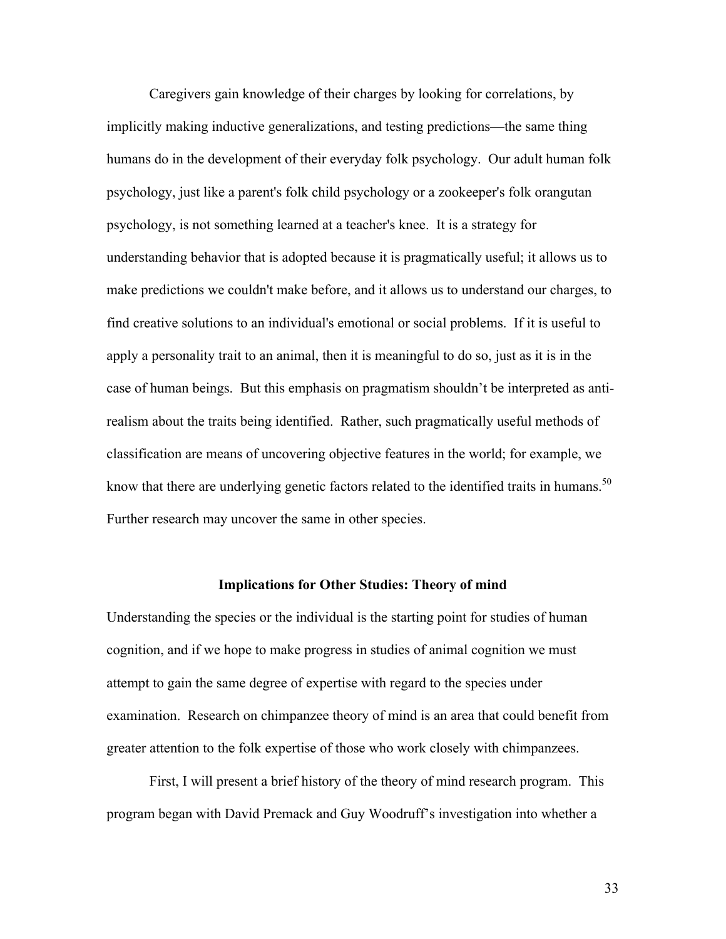Caregivers gain knowledge of their charges by looking for correlations, by implicitly making inductive generalizations, and testing predictions—the same thing humans do in the development of their everyday folk psychology. Our adult human folk psychology, just like a parent's folk child psychology or a zookeeper's folk orangutan psychology, is not something learned at a teacher's knee. It is a strategy for understanding behavior that is adopted because it is pragmatically useful; it allows us to make predictions we couldn't make before, and it allows us to understand our charges, to find creative solutions to an individual's emotional or social problems. If it is useful to apply a personality trait to an animal, then it is meaningful to do so, just as it is in the case of human beings. But this emphasis on pragmatism shouldn't be interpreted as antirealism about the traits being identified. Rather, such pragmatically useful methods of classification are means of uncovering objective features in the world; for example, we know that there are underlying genetic factors related to the identified traits in humans.<sup>50</sup> Further research may uncover the same in other species.

## **Implications for Other Studies: Theory of mind**

Understanding the species or the individual is the starting point for studies of human cognition, and if we hope to make progress in studies of animal cognition we must attempt to gain the same degree of expertise with regard to the species under examination. Research on chimpanzee theory of mind is an area that could benefit from greater attention to the folk expertise of those who work closely with chimpanzees.

First, I will present a brief history of the theory of mind research program. This program began with David Premack and Guy Woodruff's investigation into whether a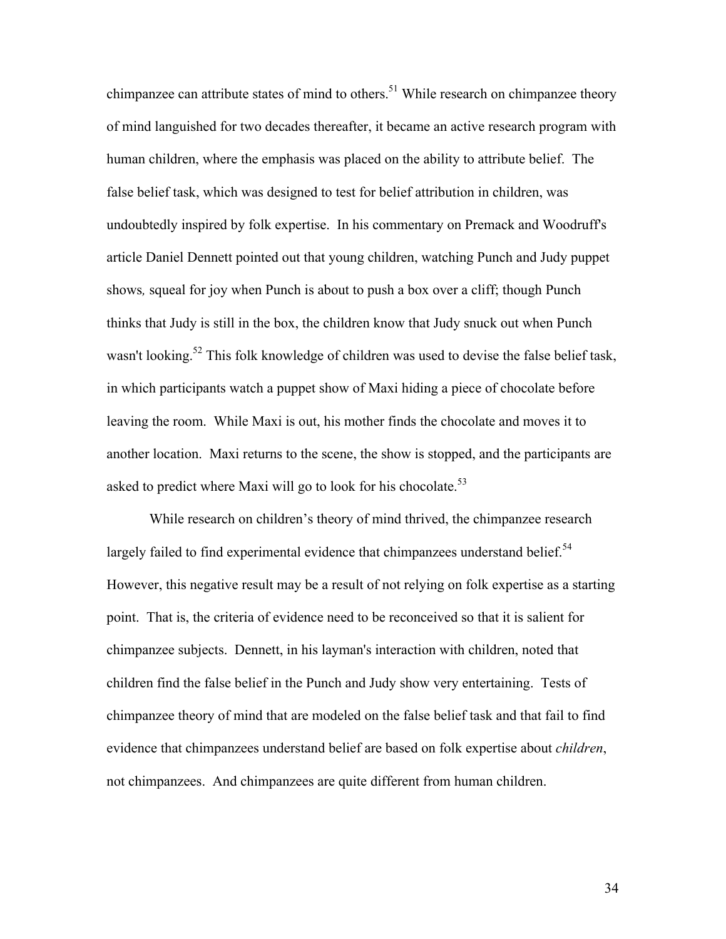chimpanzee can attribute states of mind to others.<sup>51</sup> While research on chimpanzee theory of mind languished for two decades thereafter, it became an active research program with human children, where the emphasis was placed on the ability to attribute belief. The false belief task, which was designed to test for belief attribution in children, was undoubtedly inspired by folk expertise. In his commentary on Premack and Woodruff's article Daniel Dennett pointed out that young children, watching Punch and Judy puppet shows*,* squeal for joy when Punch is about to push a box over a cliff; though Punch thinks that Judy is still in the box, the children know that Judy snuck out when Punch wasn't looking.<sup>52</sup> This folk knowledge of children was used to devise the false belief task, in which participants watch a puppet show of Maxi hiding a piece of chocolate before leaving the room. While Maxi is out, his mother finds the chocolate and moves it to another location. Maxi returns to the scene, the show is stopped, and the participants are asked to predict where Maxi will go to look for his chocolate.<sup>53</sup>

While research on children's theory of mind thrived, the chimpanzee research largely failed to find experimental evidence that chimpanzees understand belief. $54$ However, this negative result may be a result of not relying on folk expertise as a starting point. That is, the criteria of evidence need to be reconceived so that it is salient for chimpanzee subjects. Dennett, in his layman's interaction with children, noted that children find the false belief in the Punch and Judy show very entertaining. Tests of chimpanzee theory of mind that are modeled on the false belief task and that fail to find evidence that chimpanzees understand belief are based on folk expertise about *children*, not chimpanzees. And chimpanzees are quite different from human children.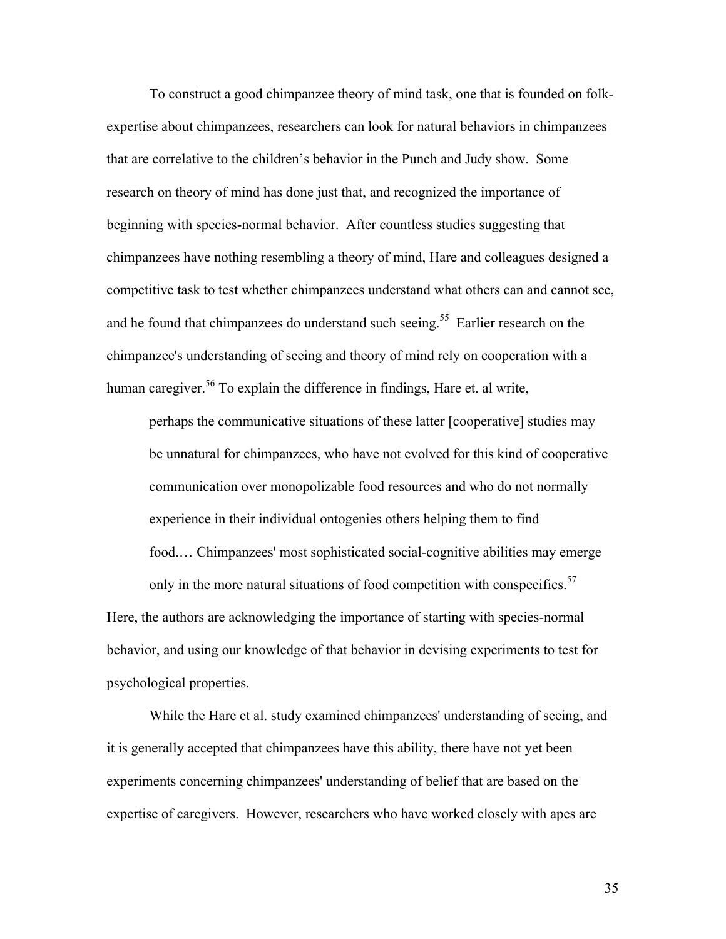To construct a good chimpanzee theory of mind task, one that is founded on folkexpertise about chimpanzees, researchers can look for natural behaviors in chimpanzees that are correlative to the children's behavior in the Punch and Judy show. Some research on theory of mind has done just that, and recognized the importance of beginning with species-normal behavior. After countless studies suggesting that chimpanzees have nothing resembling a theory of mind, Hare and colleagues designed a competitive task to test whether chimpanzees understand what others can and cannot see, and he found that chimpanzees do understand such seeing.<sup>55</sup> Earlier research on the chimpanzee's understanding of seeing and theory of mind rely on cooperation with a human caregiver.<sup>56</sup> To explain the difference in findings, Hare et. al write,

perhaps the communicative situations of these latter [cooperative] studies may be unnatural for chimpanzees, who have not evolved for this kind of cooperative communication over monopolizable food resources and who do not normally experience in their individual ontogenies others helping them to find food.… Chimpanzees' most sophisticated social-cognitive abilities may emerge only in the more natural situations of food competition with conspecifics.<sup>57</sup>

Here, the authors are acknowledging the importance of starting with species-normal behavior, and using our knowledge of that behavior in devising experiments to test for psychological properties.

While the Hare et al. study examined chimpanzees' understanding of seeing, and it is generally accepted that chimpanzees have this ability, there have not yet been experiments concerning chimpanzees' understanding of belief that are based on the expertise of caregivers. However, researchers who have worked closely with apes are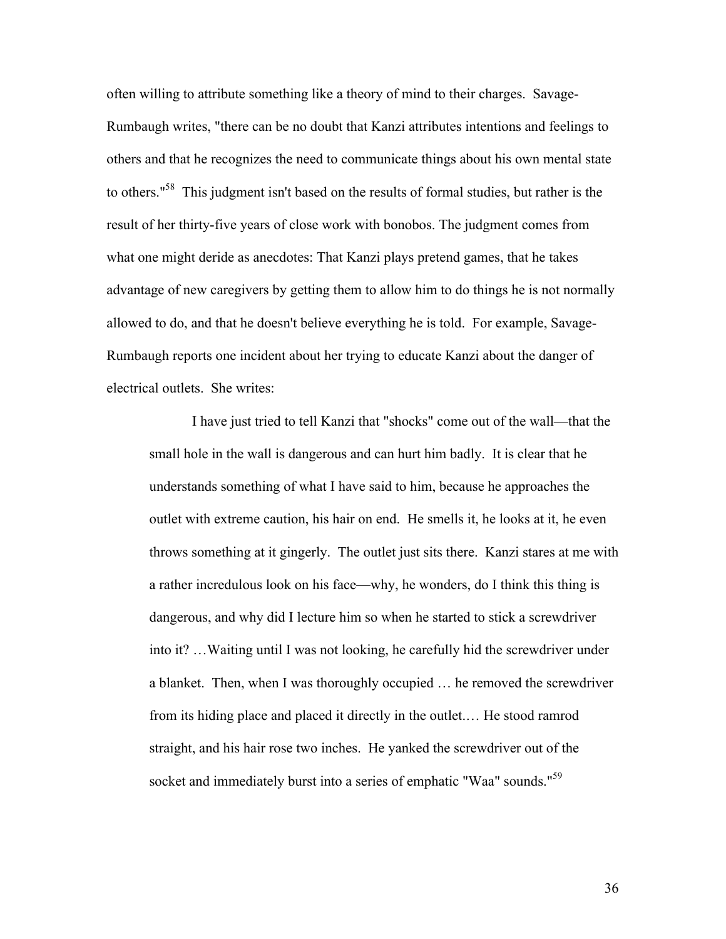often willing to attribute something like a theory of mind to their charges. Savage-Rumbaugh writes, "there can be no doubt that Kanzi attributes intentions and feelings to others and that he recognizes the need to communicate things about his own mental state to others."58 This judgment isn't based on the results of formal studies, but rather is the result of her thirty-five years of close work with bonobos. The judgment comes from what one might deride as anecdotes: That Kanzi plays pretend games, that he takes advantage of new caregivers by getting them to allow him to do things he is not normally allowed to do, and that he doesn't believe everything he is told. For example, Savage-Rumbaugh reports one incident about her trying to educate Kanzi about the danger of electrical outlets. She writes:

I have just tried to tell Kanzi that "shocks" come out of the wall—that the small hole in the wall is dangerous and can hurt him badly. It is clear that he understands something of what I have said to him, because he approaches the outlet with extreme caution, his hair on end. He smells it, he looks at it, he even throws something at it gingerly. The outlet just sits there. Kanzi stares at me with a rather incredulous look on his face—why, he wonders, do I think this thing is dangerous, and why did I lecture him so when he started to stick a screwdriver into it? …Waiting until I was not looking, he carefully hid the screwdriver under a blanket. Then, when I was thoroughly occupied … he removed the screwdriver from its hiding place and placed it directly in the outlet.… He stood ramrod straight, and his hair rose two inches. He yanked the screwdriver out of the socket and immediately burst into a series of emphatic "Waa" sounds."<sup>59</sup>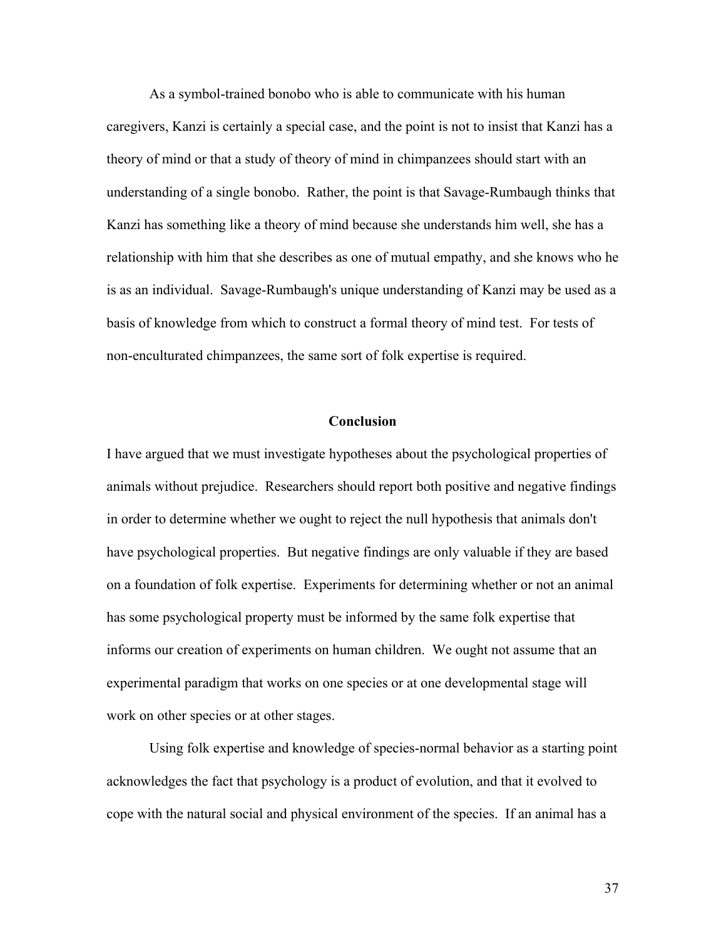As a symbol-trained bonobo who is able to communicate with his human caregivers, Kanzi is certainly a special case, and the point is not to insist that Kanzi has a theory of mind or that a study of theory of mind in chimpanzees should start with an understanding of a single bonobo. Rather, the point is that Savage-Rumbaugh thinks that Kanzi has something like a theory of mind because she understands him well, she has a relationship with him that she describes as one of mutual empathy, and she knows who he is as an individual. Savage-Rumbaugh's unique understanding of Kanzi may be used as a basis of knowledge from which to construct a formal theory of mind test. For tests of non-enculturated chimpanzees, the same sort of folk expertise is required.

### **Conclusion**

I have argued that we must investigate hypotheses about the psychological properties of animals without prejudice. Researchers should report both positive and negative findings in order to determine whether we ought to reject the null hypothesis that animals don't have psychological properties. But negative findings are only valuable if they are based on a foundation of folk expertise. Experiments for determining whether or not an animal has some psychological property must be informed by the same folk expertise that informs our creation of experiments on human children. We ought not assume that an experimental paradigm that works on one species or at one developmental stage will work on other species or at other stages.

Using folk expertise and knowledge of species-normal behavior as a starting point acknowledges the fact that psychology is a product of evolution, and that it evolved to cope with the natural social and physical environment of the species. If an animal has a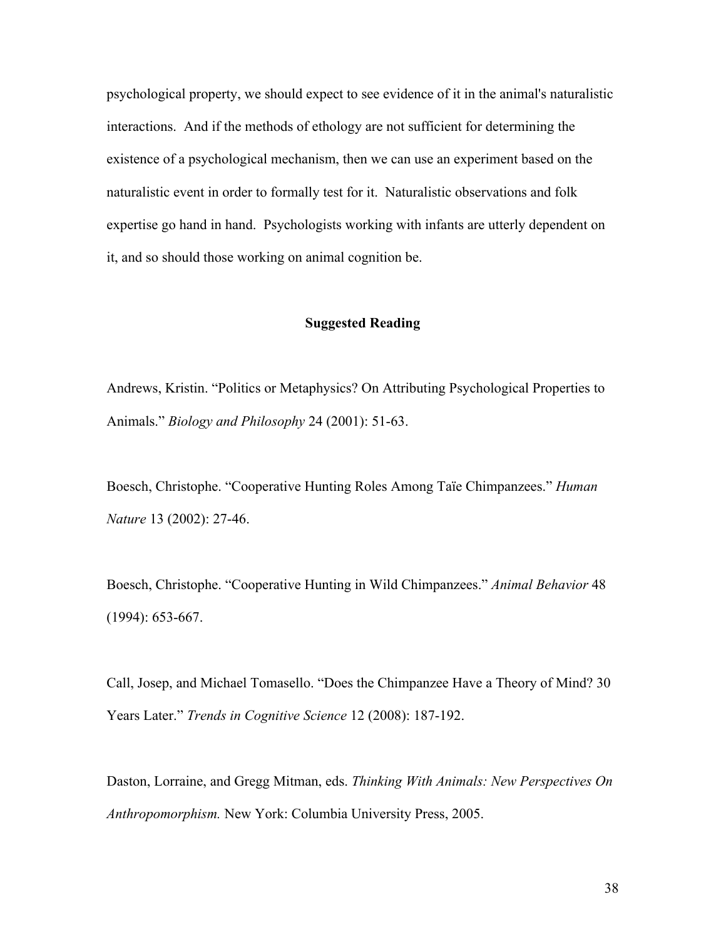psychological property, we should expect to see evidence of it in the animal's naturalistic interactions. And if the methods of ethology are not sufficient for determining the existence of a psychological mechanism, then we can use an experiment based on the naturalistic event in order to formally test for it. Naturalistic observations and folk expertise go hand in hand. Psychologists working with infants are utterly dependent on it, and so should those working on animal cognition be.

## **Suggested Reading**

Andrews, Kristin. "Politics or Metaphysics? On Attributing Psychological Properties to Animals." *Biology and Philosophy* 24 (2001): 51-63.

Boesch, Christophe. "Cooperative Hunting Roles Among Taïe Chimpanzees." *Human Nature* 13 (2002): 27-46.

Boesch, Christophe. "Cooperative Hunting in Wild Chimpanzees." *Animal Behavior* 48 (1994): 653-667.

Call, Josep, and Michael Tomasello. "Does the Chimpanzee Have a Theory of Mind? 30 Years Later." *Trends in Cognitive Science* 12 (2008): 187-192.

Daston, Lorraine, and Gregg Mitman, eds. *Thinking With Animals: New Perspectives On Anthropomorphism.* New York: Columbia University Press, 2005.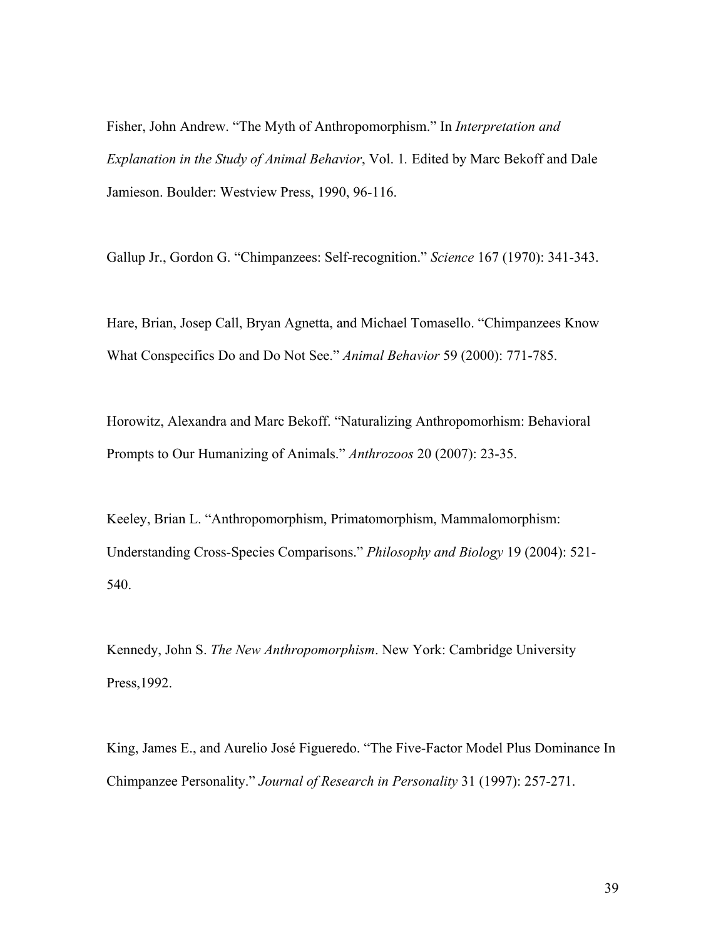Fisher, John Andrew. "The Myth of Anthropomorphism." In *Interpretation and Explanation in the Study of Animal Behavior*, Vol. 1*.* Edited by Marc Bekoff and Dale Jamieson. Boulder: Westview Press, 1990, 96-116.

Gallup Jr., Gordon G. "Chimpanzees: Self-recognition." *Science* 167 (1970): 341-343.

Hare, Brian, Josep Call, Bryan Agnetta, and Michael Tomasello. "Chimpanzees Know What Conspecifics Do and Do Not See." *Animal Behavior* 59 (2000): 771-785.

Horowitz, Alexandra and Marc Bekoff. "Naturalizing Anthropomorhism: Behavioral Prompts to Our Humanizing of Animals." *Anthrozoos* 20 (2007): 23-35.

Keeley, Brian L. "Anthropomorphism, Primatomorphism, Mammalomorphism: Understanding Cross-Species Comparisons." *Philosophy and Biology* 19 (2004): 521- 540.

Kennedy, John S. *The New Anthropomorphism*. New York: Cambridge University Press,1992.

King, James E., and Aurelio José Figueredo. "The Five-Factor Model Plus Dominance In Chimpanzee Personality." *Journal of Research in Personality* 31 (1997): 257-271.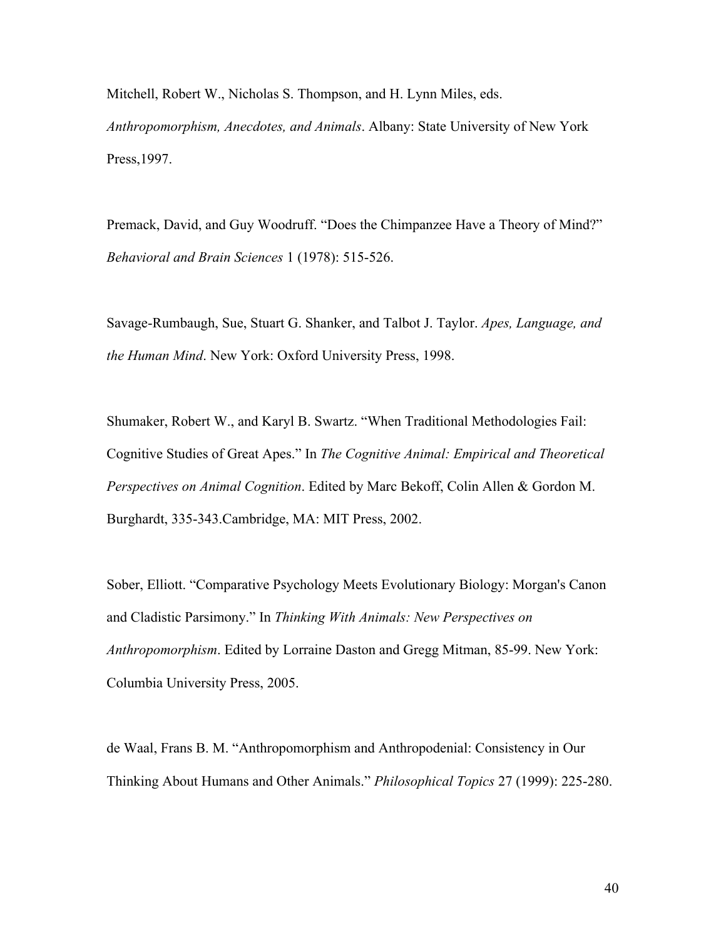Mitchell, Robert W., Nicholas S. Thompson, and H. Lynn Miles, eds. *Anthropomorphism, Anecdotes, and Animals*. Albany: State University of New York Press,1997.

Premack, David, and Guy Woodruff. "Does the Chimpanzee Have a Theory of Mind?" *Behavioral and Brain Sciences* 1 (1978): 515-526.

Savage-Rumbaugh, Sue, Stuart G. Shanker, and Talbot J. Taylor. *Apes, Language, and the Human Mind*. New York: Oxford University Press, 1998.

Shumaker, Robert W., and Karyl B. Swartz. "When Traditional Methodologies Fail: Cognitive Studies of Great Apes." In *The Cognitive Animal: Empirical and Theoretical Perspectives on Animal Cognition*. Edited by Marc Bekoff, Colin Allen & Gordon M. Burghardt, 335-343.Cambridge, MA: MIT Press, 2002.

Sober, Elliott. "Comparative Psychology Meets Evolutionary Biology: Morgan's Canon and Cladistic Parsimony." In *Thinking With Animals: New Perspectives on Anthropomorphism*. Edited by Lorraine Daston and Gregg Mitman, 85-99. New York: Columbia University Press, 2005.

de Waal, Frans B. M. "Anthropomorphism and Anthropodenial: Consistency in Our Thinking About Humans and Other Animals." *Philosophical Topics* 27 (1999): 225-280.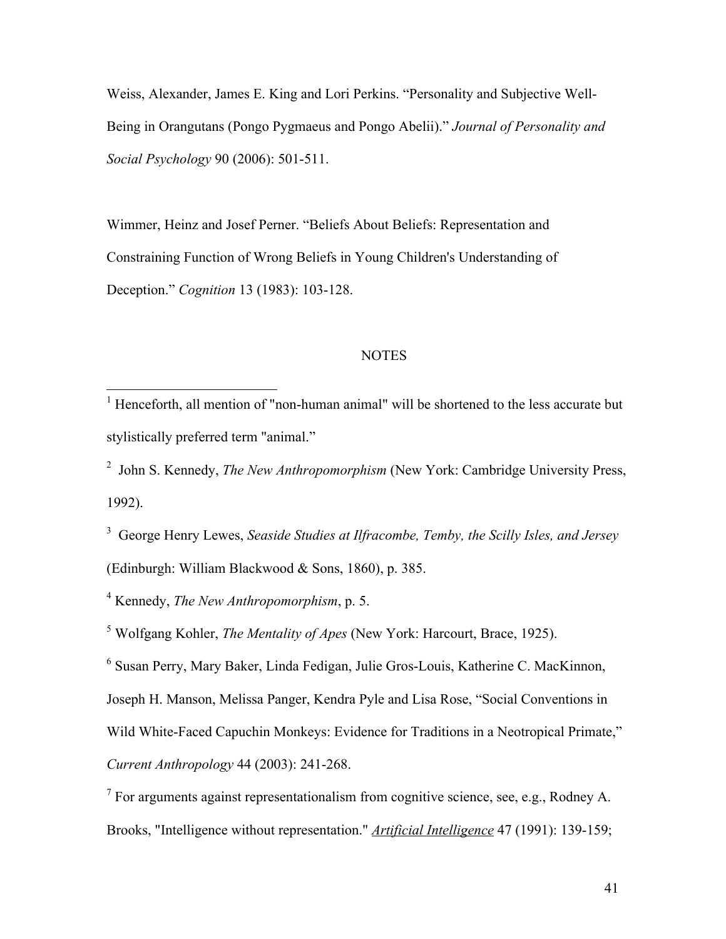Weiss, Alexander, James E. King and Lori Perkins. "Personality and Subjective Well-Being in Orangutans (Pongo Pygmaeus and Pongo Abelii)." *Journal of Personality and Social Psychology* 90 (2006): 501-511.

Wimmer, Heinz and Josef Perner. "Beliefs About Beliefs: Representation and Constraining Function of Wrong Beliefs in Young Children's Understanding of Deception." *Cognition* 13 (1983): 103-128.

## NOTES

3 George Henry Lewes, *Seaside Studies at Ilfracombe, Temby, the Scilly Isles, and Jersey* (Edinburgh: William Blackwood & Sons, 1860), p. 385.

4 Kennedy, *The New Anthropomorphism*, p. 5.

6 Susan Perry, Mary Baker, Linda Fedigan, Julie Gros-Louis, Katherine C. MacKinnon,

Joseph H. Manson, Melissa Panger, Kendra Pyle and Lisa Rose, "Social Conventions in

Wild White-Faced Capuchin Monkeys: Evidence for Traditions in a Neotropical Primate,"

*Current Anthropology* 44 (2003): 241-268.

 $7$  For arguments against representationalism from cognitive science, see, e.g., Rodney A. Brooks, "Intelligence without representation." *Artificial Intelligence* 47 (1991): 139-159;

<sup>&</sup>lt;sup>1</sup> Henceforth, all mention of "non-human animal" will be shortened to the less accurate but stylistically preferred term "animal."

<sup>2</sup> John S. Kennedy, *The New Anthropomorphism* (New York: Cambridge University Press, 1992).

<sup>5</sup> Wolfgang Kohler, *The Mentality of Apes* (New York: Harcourt, Brace, 1925).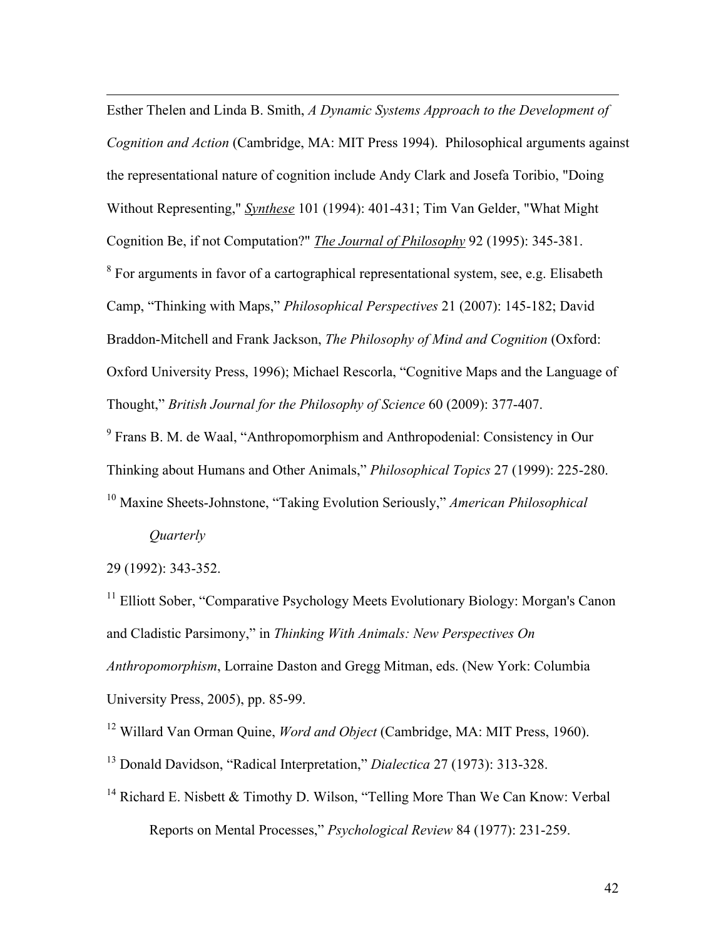$\overline{a}$ Esther Thelen and Linda B. Smith, *A Dynamic Systems Approach to the Development of Cognition and Action* (Cambridge, MA: MIT Press 1994). Philosophical arguments against the representational nature of cognition include Andy Clark and Josefa Toribio, "Doing Without Representing," *Synthese* 101 (1994): 401-431; Tim Van Gelder, "What Might Cognition Be, if not Computation?" *The Journal of Philosophy* 92 (1995): 345-381.  $8$  For arguments in favor of a cartographical representational system, see, e.g. Elisabeth Camp, "Thinking with Maps," *Philosophical Perspectives* 21 (2007): 145-182; David Braddon-Mitchell and Frank Jackson, *The Philosophy of Mind and Cognition* (Oxford: Oxford University Press, 1996); Michael Rescorla, "Cognitive Maps and the Language of Thought," *British Journal for the Philosophy of Science* 60 (2009): 377-407.

<sup>9</sup> Frans B. M. de Waal, "Anthropomorphism and Anthropodenial: Consistency in Our Thinking about Humans and Other Animals," *Philosophical Topics* 27 (1999): 225-280.

10 Maxine Sheets-Johnstone, "Taking Evolution Seriously," *American Philosophical* 

*Quarterly* 

29 (1992): 343-352.

<sup>11</sup> Elliott Sober, "Comparative Psychology Meets Evolutionary Biology: Morgan's Canon and Cladistic Parsimony," in *Thinking With Animals: New Perspectives On Anthropomorphism*, Lorraine Daston and Gregg Mitman, eds. (New York: Columbia University Press, 2005), pp. 85-99.

12 Willard Van Orman Quine, *Word and Object* (Cambridge, MA: MIT Press, 1960). 13 Donald Davidson, "Radical Interpretation," *Dialectica* 27 (1973): 313-328.

<sup>14</sup> Richard E. Nisbett & Timothy D. Wilson, "Telling More Than We Can Know: Verbal Reports on Mental Processes," *Psychological Review* 84 (1977): 231-259.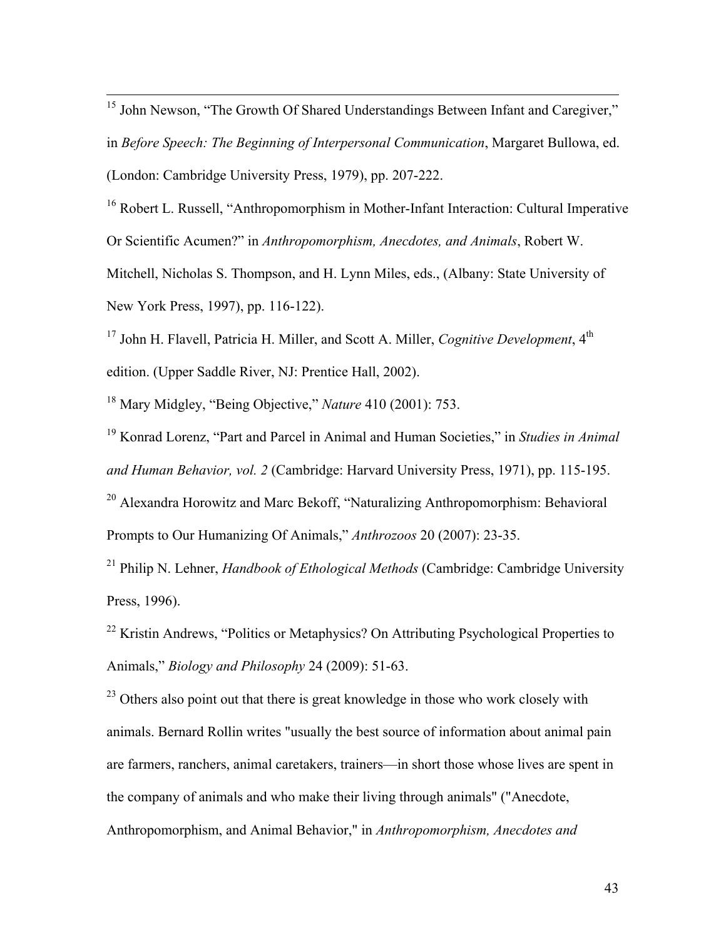<sup>15</sup> John Newson, "The Growth Of Shared Understandings Between Infant and Caregiver," in *Before Speech: The Beginning of Interpersonal Communication*, Margaret Bullowa, ed. (London: Cambridge University Press, 1979), pp. 207-222.

<sup>16</sup> Robert L. Russell, "Anthropomorphism in Mother-Infant Interaction: Cultural Imperative Or Scientific Acumen?" in *Anthropomorphism, Anecdotes, and Animals*, Robert W.

Mitchell, Nicholas S. Thompson, and H. Lynn Miles, eds., (Albany: State University of New York Press, 1997), pp. 116-122).

<sup>17</sup> John H. Flavell, Patricia H. Miller, and Scott A. Miller, *Cognitive Development*, 4<sup>th</sup> edition. (Upper Saddle River, NJ: Prentice Hall, 2002).

18 Mary Midgley, "Being Objective," *Nature* 410 (2001): 753.

19 Konrad Lorenz, "Part and Parcel in Animal and Human Societies," in *Studies in Animal and Human Behavior, vol. 2* (Cambridge: Harvard University Press, 1971), pp. 115-195.

20 Alexandra Horowitz and Marc Bekoff, "Naturalizing Anthropomorphism: Behavioral Prompts to Our Humanizing Of Animals," *Anthrozoos* 20 (2007): 23-35.

21 Philip N. Lehner, *Handbook of Ethological Methods* (Cambridge: Cambridge University Press, 1996).

<sup>22</sup> Kristin Andrews, "Politics or Metaphysics? On Attributing Psychological Properties to Animals," *Biology and Philosophy* 24 (2009): 51-63.

 $23$  Others also point out that there is great knowledge in those who work closely with animals. Bernard Rollin writes "usually the best source of information about animal pain are farmers, ranchers, animal caretakers, trainers—in short those whose lives are spent in the company of animals and who make their living through animals" ("Anecdote, Anthropomorphism, and Animal Behavior," in *Anthropomorphism, Anecdotes and*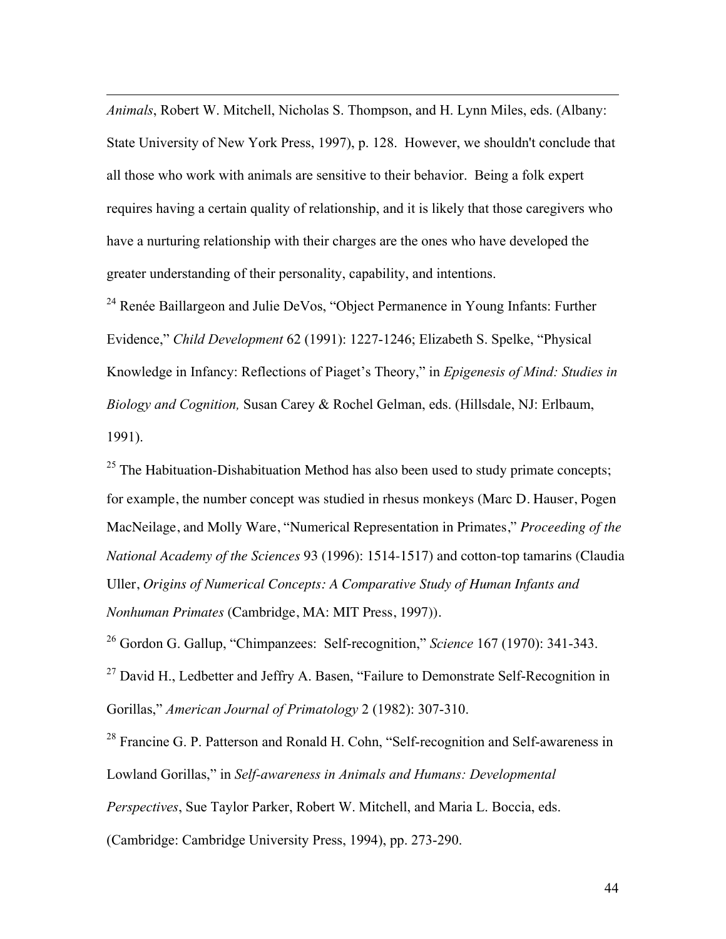*Animals*, Robert W. Mitchell, Nicholas S. Thompson, and H. Lynn Miles, eds. (Albany: State University of New York Press, 1997), p. 128. However, we shouldn't conclude that all those who work with animals are sensitive to their behavior. Being a folk expert requires having a certain quality of relationship, and it is likely that those caregivers who have a nurturing relationship with their charges are the ones who have developed the greater understanding of their personality, capability, and intentions.

 $\overline{a}$ 

<sup>24</sup> Renée Baillargeon and Julie DeVos, "Object Permanence in Young Infants: Further Evidence," *Child Development* 62 (1991): 1227-1246; Elizabeth S. Spelke, "Physical Knowledge in Infancy: Reflections of Piaget's Theory," in *Epigenesis of Mind: Studies in Biology and Cognition,* Susan Carey & Rochel Gelman, eds. (Hillsdale, NJ: Erlbaum, 1991).

 $25$  The Habituation-Dishabituation Method has also been used to study primate concepts; for example, the number concept was studied in rhesus monkeys (Marc D. Hauser, Pogen MacNeilage, and Molly Ware, "Numerical Representation in Primates," *Proceeding of the National Academy of the Sciences* 93 (1996): 1514-1517) and cotton-top tamarins (Claudia Uller, *Origins of Numerical Concepts: A Comparative Study of Human Infants and Nonhuman Primates* (Cambridge, MA: MIT Press, 1997)).

26 Gordon G. Gallup, "Chimpanzees: Self-recognition," *Science* 167 (1970): 341-343.

 $27$  David H., Ledbetter and Jeffry A. Basen, "Failure to Demonstrate Self-Recognition in Gorillas," *American Journal of Primatology* 2 (1982): 307-310.

 $28$  Francine G. P. Patterson and Ronald H. Cohn, "Self-recognition and Self-awareness in Lowland Gorillas," in *Self-awareness in Animals and Humans: Developmental Perspectives*, Sue Taylor Parker, Robert W. Mitchell, and Maria L. Boccia, eds.

(Cambridge: Cambridge University Press, 1994), pp. 273-290.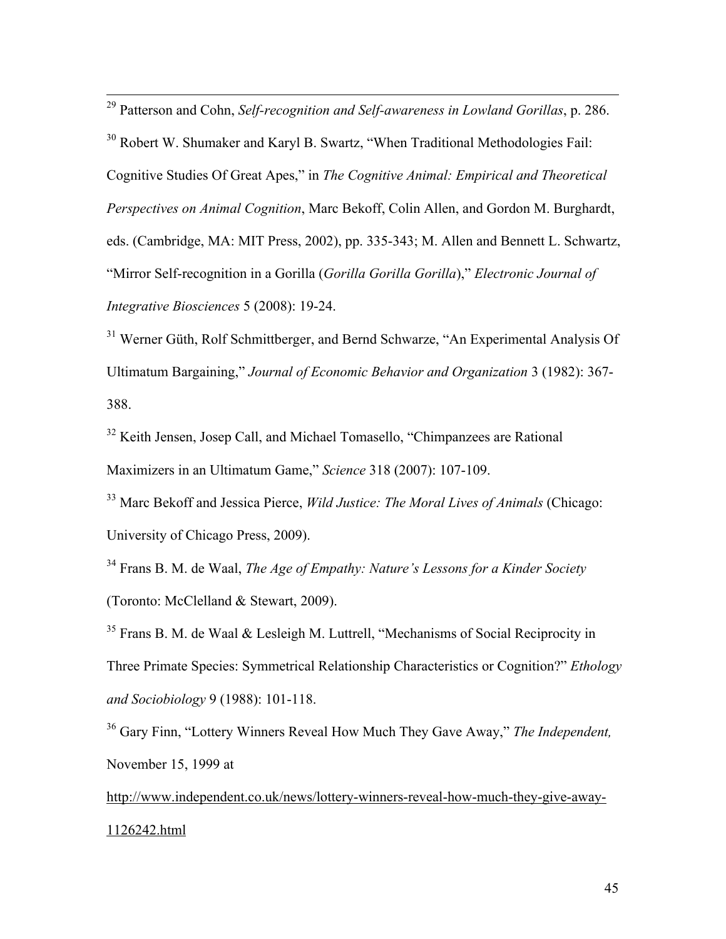29 Patterson and Cohn, *Self-recognition and Self-awareness in Lowland Gorillas*, p. 286.

<sup>30</sup> Robert W. Shumaker and Karyl B. Swartz, "When Traditional Methodologies Fail: Cognitive Studies Of Great Apes," in *The Cognitive Animal: Empirical and Theoretical Perspectives on Animal Cognition*, Marc Bekoff, Colin Allen, and Gordon M. Burghardt, eds. (Cambridge, MA: MIT Press, 2002), pp. 335-343; M. Allen and Bennett L. Schwartz, "Mirror Self-recognition in a Gorilla (*Gorilla Gorilla Gorilla*)," *Electronic Journal of Integrative Biosciences* 5 (2008): 19-24.

<sup>31</sup> Werner Güth, Rolf Schmittberger, and Bernd Schwarze, "An Experimental Analysis Of Ultimatum Bargaining," *Journal of Economic Behavior and Organization* 3 (1982): 367- 388.

<sup>32</sup> Keith Jensen, Josep Call, and Michael Tomasello, "Chimpanzees are Rational Maximizers in an Ultimatum Game," *Science* 318 (2007): 107-109.

33 Marc Bekoff and Jessica Pierce, *Wild Justice: The Moral Lives of Animals* (Chicago: University of Chicago Press, 2009).

34 Frans B. M. de Waal, *The Age of Empathy: Nature's Lessons for a Kinder Society*  (Toronto: McClelland & Stewart, 2009).

 $35$  Frans B. M. de Waal & Lesleigh M. Luttrell, "Mechanisms of Social Reciprocity in Three Primate Species: Symmetrical Relationship Characteristics or Cognition?" *Ethology and Sociobiology* 9 (1988): 101-118.

36 Gary Finn, "Lottery Winners Reveal How Much They Gave Away," *The Independent,* November 15, 1999 at

http://www.independent.co.uk/news/lottery-winners-reveal-how-much-they-give-away-1126242.html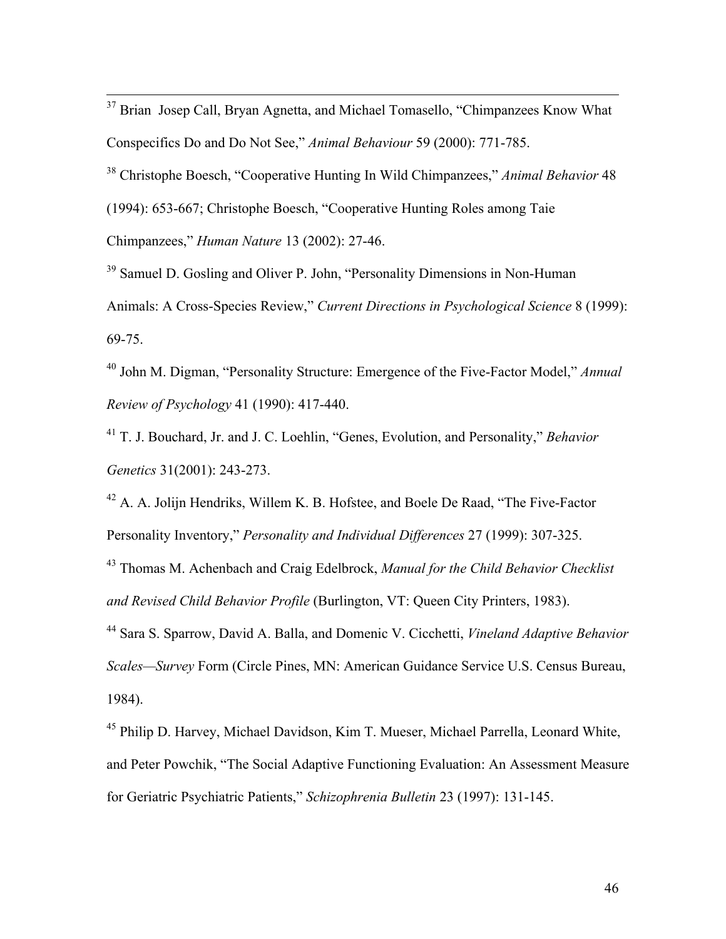<sup>37</sup> Brian Josep Call, Bryan Agnetta, and Michael Tomasello, "Chimpanzees Know What Conspecifics Do and Do Not See," *Animal Behaviour* 59 (2000): 771-785.

38 Christophe Boesch, "Cooperative Hunting In Wild Chimpanzees," *Animal Behavior* 48 (1994): 653-667; Christophe Boesch, "Cooperative Hunting Roles among Taie Chimpanzees," *Human Nature* 13 (2002): 27-46.

<sup>39</sup> Samuel D. Gosling and Oliver P. John, "Personality Dimensions in Non-Human" Animals: A Cross-Species Review," *Current Directions in Psychological Science* 8 (1999): 69-75.

40 John M. Digman, "Personality Structure: Emergence of the Five-Factor Model," *Annual Review of Psychology* 41 (1990): 417-440.

41 T. J. Bouchard, Jr. and J. C. Loehlin, "Genes, Evolution, and Personality," *Behavior Genetics* 31(2001): 243-273.

42 A. A. Jolijn Hendriks, Willem K. B. Hofstee, and Boele De Raad, "The Five-Factor Personality Inventory," *Personality and Individual Differences* 27 (1999): 307-325.

43 Thomas M. Achenbach and Craig Edelbrock, *Manual for the Child Behavior Checklist and Revised Child Behavior Profile* (Burlington, VT: Queen City Printers, 1983).

<sup>44</sup> Sara S. Sparrow, David A. Balla, and Domenic V. Cicchetti, *Vineland Adaptive Behavior Scales—Survey* Form (Circle Pines, MN: American Guidance Service U.S. Census Bureau, 1984).

<sup>45</sup> Philip D. Harvey, Michael Davidson, Kim T. Mueser, Michael Parrella, Leonard White, and Peter Powchik, "The Social Adaptive Functioning Evaluation: An Assessment Measure for Geriatric Psychiatric Patients," *Schizophrenia Bulletin* 23 (1997): 131-145.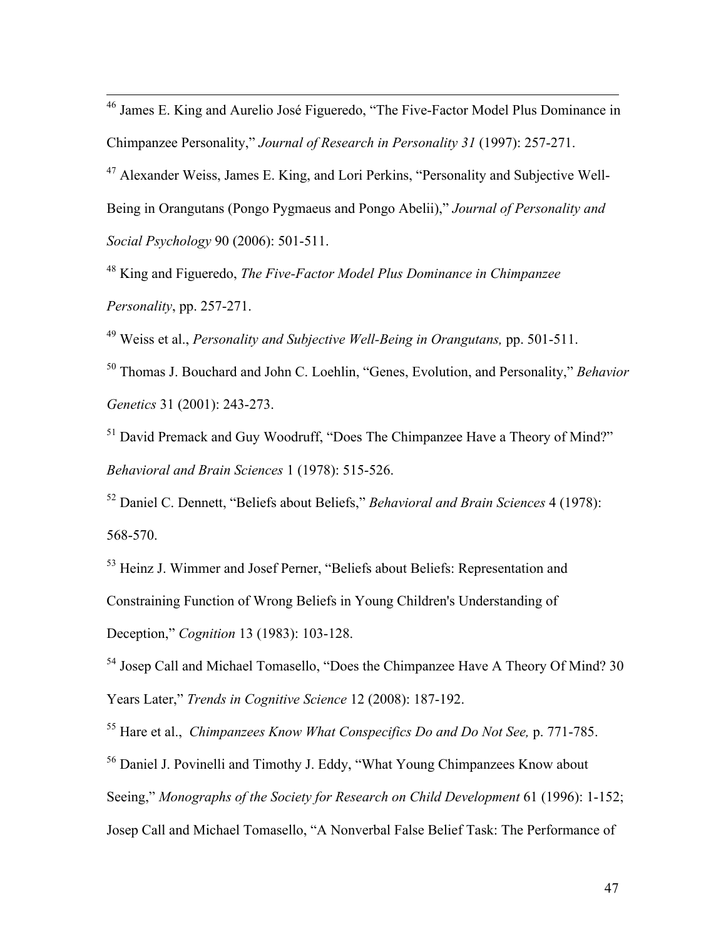46 James E. King and Aurelio José Figueredo, "The Five-Factor Model Plus Dominance in Chimpanzee Personality," *Journal of Research in Personality 31* (1997): 257-271.

47 Alexander Weiss, James E. King, and Lori Perkins, "Personality and Subjective Well-Being in Orangutans (Pongo Pygmaeus and Pongo Abelii)," *Journal of Personality and Social Psychology* 90 (2006): 501-511.

48 King and Figueredo, *The Five-Factor Model Plus Dominance in Chimpanzee Personality*, pp. 257-271.

49 Weiss et al., *Personality and Subjective Well-Being in Orangutans,* pp. 501-511.

50 Thomas J. Bouchard and John C. Loehlin, "Genes, Evolution, and Personality," *Behavior Genetics* 31 (2001): 243-273.

<sup>51</sup> David Premack and Guy Woodruff, "Does The Chimpanzee Have a Theory of Mind?" *Behavioral and Brain Sciences* 1 (1978): 515-526.

52 Daniel C. Dennett, "Beliefs about Beliefs," *Behavioral and Brain Sciences* 4 (1978): 568-570.

53 Heinz J. Wimmer and Josef Perner, "Beliefs about Beliefs: Representation and Constraining Function of Wrong Beliefs in Young Children's Understanding of Deception," *Cognition* 13 (1983): 103-128.

54 Josep Call and Michael Tomasello, "Does the Chimpanzee Have A Theory Of Mind? 30 Years Later," *Trends in Cognitive Science* 12 (2008): 187-192.

55 Hare et al., *Chimpanzees Know What Conspecifics Do and Do Not See,* p. 771-785.

56 Daniel J. Povinelli and Timothy J. Eddy, "What Young Chimpanzees Know about Seeing," *Monographs of the Society for Research on Child Development* 61 (1996): 1-152; Josep Call and Michael Tomasello, "A Nonverbal False Belief Task: The Performance of